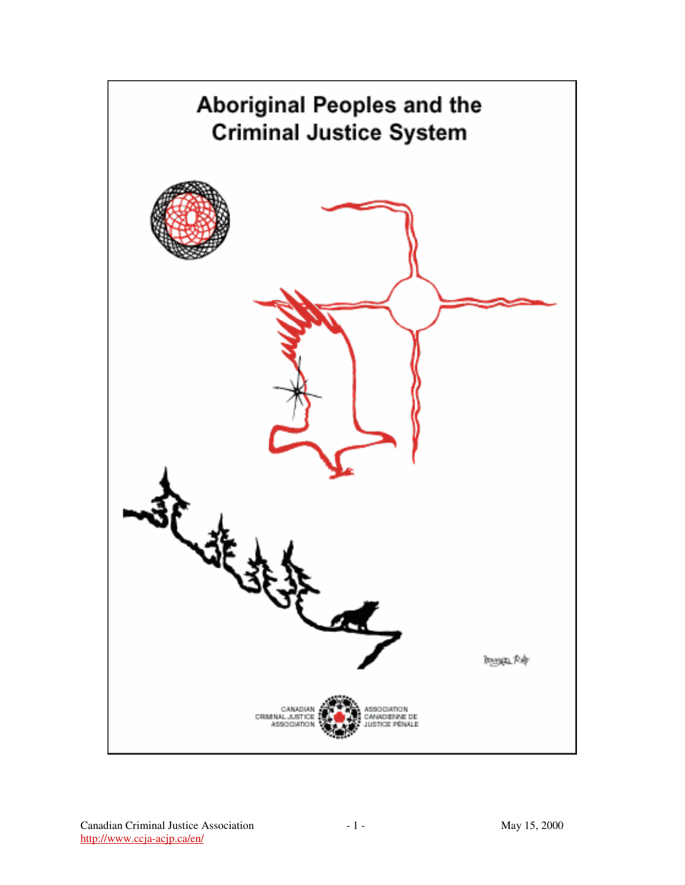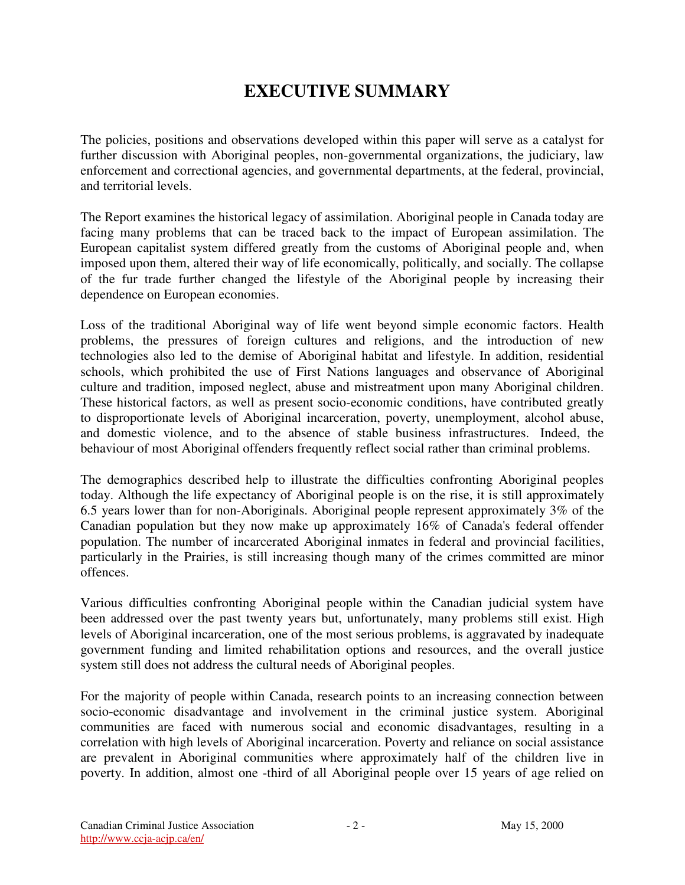# **EXECUTIVE SUMMARY**

The policies, positions and observations developed within this paper will serve as a catalyst for further discussion with Aboriginal peoples, non-governmental organizations, the judiciary, law enforcement and correctional agencies, and governmental departments, at the federal, provincial, and territorial levels.

The Report examines the historical legacy of assimilation. Aboriginal people in Canada today are facing many problems that can be traced back to the impact of European assimilation. The European capitalist system differed greatly from the customs of Aboriginal people and, when imposed upon them, altered their way of life economically, politically, and socially. The collapse of the fur trade further changed the lifestyle of the Aboriginal people by increasing their dependence on European economies.

Loss of the traditional Aboriginal way of life went beyond simple economic factors. Health problems, the pressures of foreign cultures and religions, and the introduction of new technologies also led to the demise of Aboriginal habitat and lifestyle. In addition, residential schools, which prohibited the use of First Nations languages and observance of Aboriginal culture and tradition, imposed neglect, abuse and mistreatment upon many Aboriginal children. These historical factors, as well as present socio-economic conditions, have contributed greatly to disproportionate levels of Aboriginal incarceration, poverty, unemployment, alcohol abuse, and domestic violence, and to the absence of stable business infrastructures. Indeed, the behaviour of most Aboriginal offenders frequently reflect social rather than criminal problems.

The demographics described help to illustrate the difficulties confronting Aboriginal peoples today. Although the life expectancy of Aboriginal people is on the rise, it is still approximately 6.5 years lower than for non-Aboriginals. Aboriginal people represent approximately 3% of the Canadian population but they now make up approximately 16% of Canada's federal offender population. The number of incarcerated Aboriginal inmates in federal and provincial facilities, particularly in the Prairies, is still increasing though many of the crimes committed are minor offences.

Various difficulties confronting Aboriginal people within the Canadian judicial system have been addressed over the past twenty years but, unfortunately, many problems still exist. High levels of Aboriginal incarceration, one of the most serious problems, is aggravated by inadequate government funding and limited rehabilitation options and resources, and the overall justice system still does not address the cultural needs of Aboriginal peoples.

For the majority of people within Canada, research points to an increasing connection between socio-economic disadvantage and involvement in the criminal justice system. Aboriginal communities are faced with numerous social and economic disadvantages, resulting in a correlation with high levels of Aboriginal incarceration. Poverty and reliance on social assistance are prevalent in Aboriginal communities where approximately half of the children live in poverty. In addition, almost one -third of all Aboriginal people over 15 years of age relied on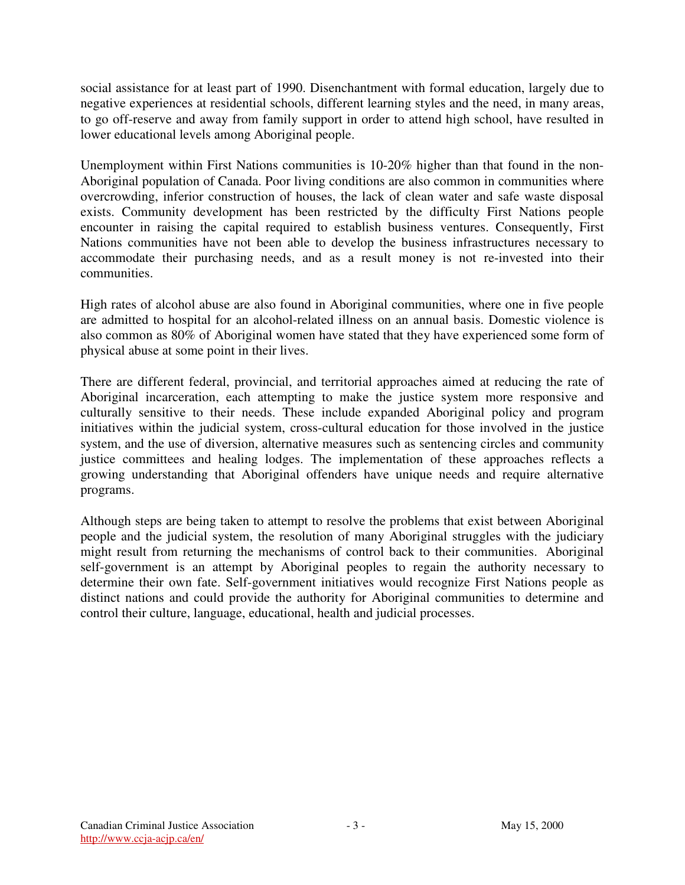social assistance for at least part of 1990. Disenchantment with formal education, largely due to negative experiences at residential schools, different learning styles and the need, in many areas, to go off-reserve and away from family support in order to attend high school, have resulted in lower educational levels among Aboriginal people.

Unemployment within First Nations communities is 10-20% higher than that found in the non-Aboriginal population of Canada. Poor living conditions are also common in communities where overcrowding, inferior construction of houses, the lack of clean water and safe waste disposal exists. Community development has been restricted by the difficulty First Nations people encounter in raising the capital required to establish business ventures. Consequently, First Nations communities have not been able to develop the business infrastructures necessary to accommodate their purchasing needs, and as a result money is not re-invested into their communities.

High rates of alcohol abuse are also found in Aboriginal communities, where one in five people are admitted to hospital for an alcohol-related illness on an annual basis. Domestic violence is also common as 80% of Aboriginal women have stated that they have experienced some form of physical abuse at some point in their lives.

There are different federal, provincial, and territorial approaches aimed at reducing the rate of Aboriginal incarceration, each attempting to make the justice system more responsive and culturally sensitive to their needs. These include expanded Aboriginal policy and program initiatives within the judicial system, cross-cultural education for those involved in the justice system, and the use of diversion, alternative measures such as sentencing circles and community justice committees and healing lodges. The implementation of these approaches reflects a growing understanding that Aboriginal offenders have unique needs and require alternative programs.

Although steps are being taken to attempt to resolve the problems that exist between Aboriginal people and the judicial system, the resolution of many Aboriginal struggles with the judiciary might result from returning the mechanisms of control back to their communities. Aboriginal self-government is an attempt by Aboriginal peoples to regain the authority necessary to determine their own fate. Self-government initiatives would recognize First Nations people as distinct nations and could provide the authority for Aboriginal communities to determine and control their culture, language, educational, health and judicial processes.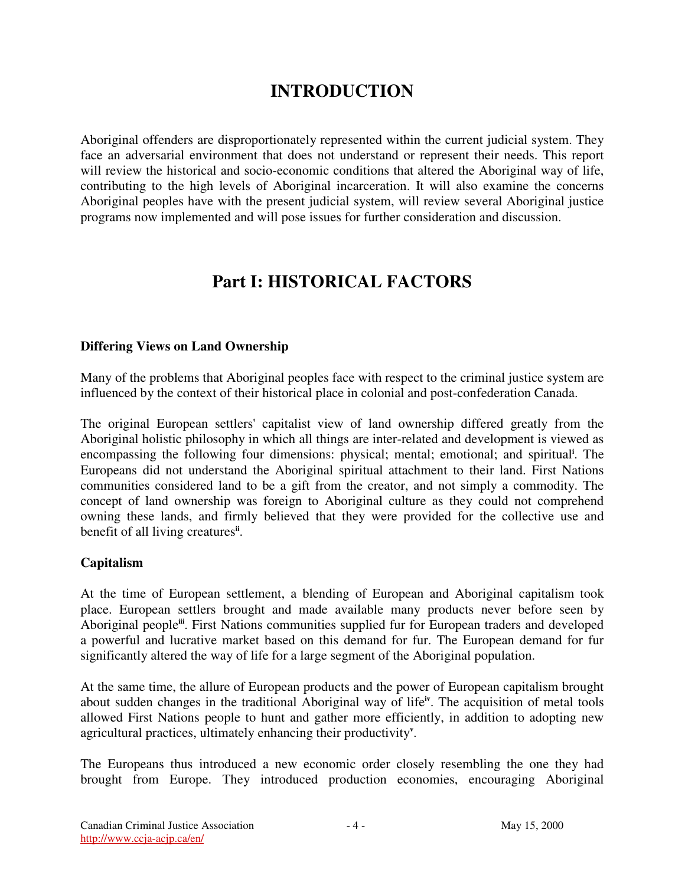# **INTRODUCTION**

Aboriginal offenders are disproportionately represented within the current judicial system. They face an adversarial environment that does not understand or represent their needs. This report will review the historical and socio-economic conditions that altered the Aboriginal way of life, contributing to the high levels of Aboriginal incarceration. It will also examine the concerns Aboriginal peoples have with the present judicial system, will review several Aboriginal justice programs now implemented and will pose issues for further consideration and discussion.

# **Part I: HISTORICAL FACTORS**

## **Differing Views on Land Ownership**

Many of the problems that Aboriginal peoples face with respect to the criminal justice system are influenced by the context of their historical place in colonial and post-confederation Canada.

The original European settlers' capitalist view of land ownership differed greatly from the Aboriginal holistic philosophy in which all things are inter-related and development is viewed as encompassing the following four dimensions: physical; mental; emotional; and spiritual **i** . The Europeans did not understand the Aboriginal spiritual attachment to their land. First Nations communities considered land to be a gift from the creator, and not simply a commodity. The concept of land ownership was foreign to Aboriginal culture as they could not comprehend owning these lands, and firmly believed that they were provided for the collective use and benefit of all living creatures<sup>ii</sup>.

# **Capitalism**

At the time of European settlement, a blending of European and Aboriginal capitalism took place. European settlers brought and made available many products never before seen by Aboriginal people<sup>iii</sup>. First Nations communities supplied fur for European traders and developed a powerful and lucrative market based on this demand for fur. The European demand for fur significantly altered the way of life for a large segment of the Aboriginal population.

At the same time, the allure of European products and the power of European capitalism brought about sudden changes in the traditional Aboriginal way of life<sup>iv</sup>. The acquisition of metal tools allowed First Nations people to hunt and gather more efficiently, in addition to adopting new agricultural practices, ultimately enhancing their productivity<sup>v</sup>.

The Europeans thus introduced a new economic order closely resembling the one they had brought from Europe. They introduced production economies, encouraging Aboriginal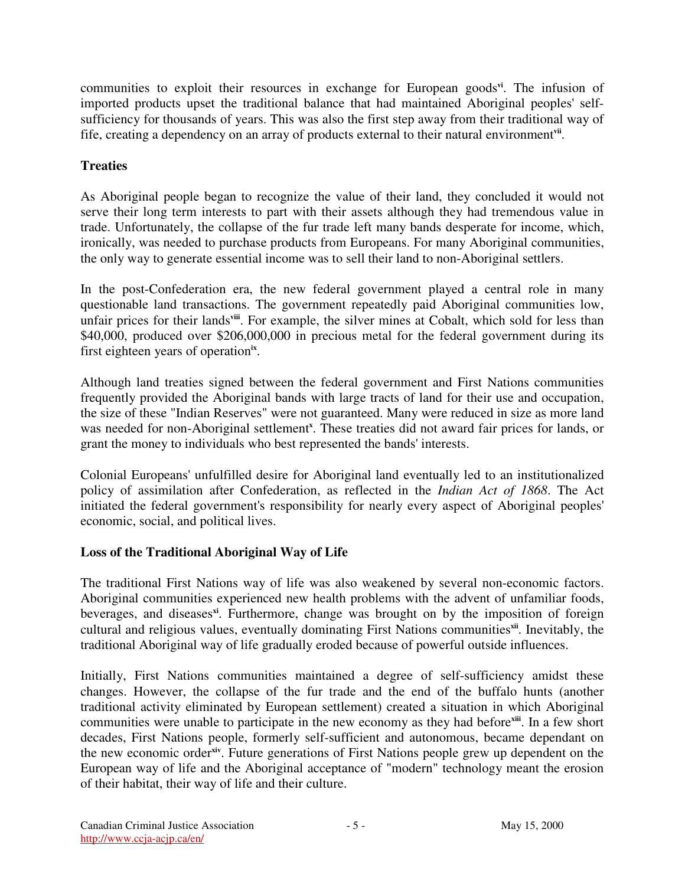communities to exploit their resources in exchange for European goods<sup>vi</sup>. The infusion of imported products upset the traditional balance that had maintained Aboriginal peoples' selfsufficiency for thousands of years. This was also the first step away from their traditional way of fife, creating a dependency on an array of products external to their natural environment<sup>vii</sup>.

# **Treaties**

As Aboriginal people began to recognize the value of their land, they concluded it would not serve their long term interests to part with their assets although they had tremendous value in trade. Unfortunately, the collapse of the fur trade left many bands desperate for income, which, ironically, was needed to purchase products from Europeans. For many Aboriginal communities, the only way to generate essential income was to sell their land to non-Aboriginal settlers.

In the post-Confederation era, the new federal government played a central role in many questionable land transactions. The government repeatedly paid Aboriginal communities low, unfair prices for their lands<sup>viii</sup>. For example, the silver mines at Cobalt, which sold for less than \$40,000, produced over \$206,000,000 in precious metal for the federal government during its first eighteen years of operation<sup>ix</sup>.

Although land treaties signed between the federal government and First Nations communities frequently provided the Aboriginal bands with large tracts of land for their use and occupation, the size of these "Indian Reserves" were not guaranteed. Many were reduced in size as more land was needed for non-Aboriginal settlement<sup>x</sup>. These treaties did not award fair prices for lands, or grant the money to individuals who best represented the bands' interests.

Colonial Europeans' unfulfilled desire for Aboriginal land eventually led to an institutionalized policy of assimilation after Confederation, as reflected in the *Indian Act of 1868*. The Act initiated the federal government's responsibility for nearly every aspect of Aboriginal peoples' economic, social, and political lives.

# **Loss of the Traditional Aboriginal Way of Life**

The traditional First Nations way of life was also weakened by several non-economic factors. Aboriginal communities experienced new health problems with the advent of unfamiliar foods, beverages, and diseases **xi** . Furthermore, change was brought on by the imposition of foreign cultural and religious values, eventually dominating First Nations communitiesxil. Inevitably, the traditional Aboriginal way of life gradually eroded because of powerful outside influences.

Initially, First Nations communities maintained a degree of self-sufficiency amidst these changes. However, the collapse of the fur trade and the end of the buffalo hunts (another traditional activity eliminated by European settlement) created a situation in which Aboriginal communities were unable to participate in the new economy as they had before<sup>xiii</sup>. In a few short decades, First Nations people, formerly self-sufficient and autonomous, became dependant on the new economic order<sup>xiv</sup>. Future generations of First Nations people grew up dependent on the European way of life and the Aboriginal acceptance of "modern" technology meant the erosion of their habitat, their way of life and their culture.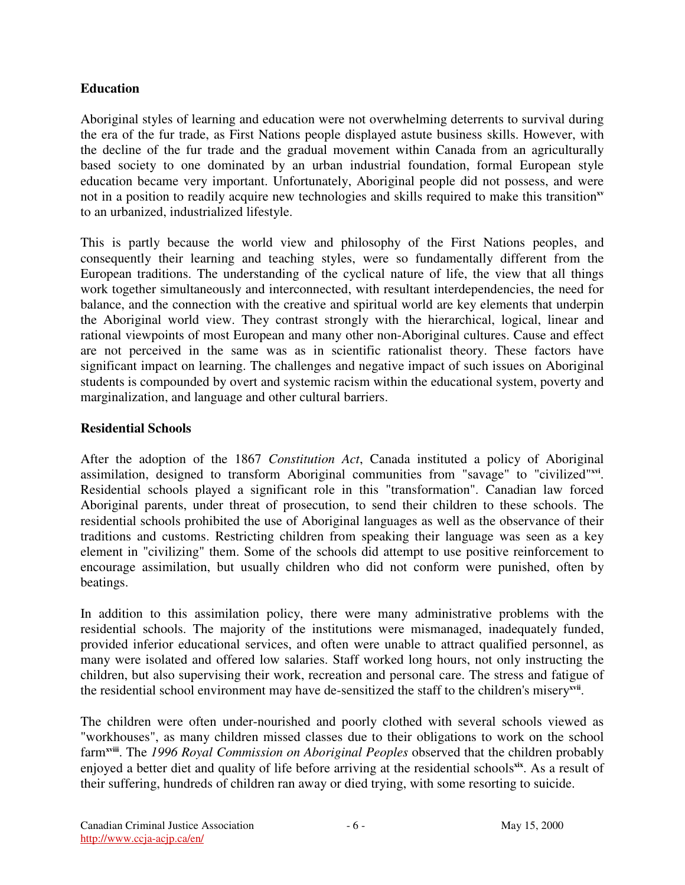## **Education**

Aboriginal styles of learning and education were not overwhelming deterrents to survival during the era of the fur trade, as First Nations people displayed astute business skills. However, with the decline of the fur trade and the gradual movement within Canada from an agriculturally based society to one dominated by an urban industrial foundation, formal European style education became very important. Unfortunately, Aboriginal people did not possess, and were not in a position to readily acquire new technologies and skills required to make this transition<sup>xv</sup> to an urbanized, industrialized lifestyle.

This is partly because the world view and philosophy of the First Nations peoples, and consequently their learning and teaching styles, were so fundamentally different from the European traditions. The understanding of the cyclical nature of life, the view that all things work together simultaneously and interconnected, with resultant interdependencies, the need for balance, and the connection with the creative and spiritual world are key elements that underpin the Aboriginal world view. They contrast strongly with the hierarchical, logical, linear and rational viewpoints of most European and many other non-Aboriginal cultures. Cause and effect are not perceived in the same was as in scientific rationalist theory. These factors have significant impact on learning. The challenges and negative impact of such issues on Aboriginal students is compounded by overt and systemic racism within the educational system, poverty and marginalization, and language and other cultural barriers.

## **Residential Schools**

After the adoption of the 1867 *Constitution Act*, Canada instituted a policy of Aboriginal assimilation, designed to transform Aboriginal communities from "savage" to "civilized"<sup>xvi</sup>. Residential schools played a significant role in this "transformation". Canadian law forced Aboriginal parents, under threat of prosecution, to send their children to these schools. The residential schools prohibited the use of Aboriginal languages as well as the observance of their traditions and customs. Restricting children from speaking their language was seen as a key element in "civilizing" them. Some of the schools did attempt to use positive reinforcement to encourage assimilation, but usually children who did not conform were punished, often by beatings.

In addition to this assimilation policy, there were many administrative problems with the residential schools. The majority of the institutions were mismanaged, inadequately funded, provided inferior educational services, and often were unable to attract qualified personnel, as many were isolated and offered low salaries. Staff worked long hours, not only instructing the children, but also supervising their work, recreation and personal care. The stress and fatigue of the residential school environment may have de-sensitized the staff to the children's misery<sup>xvii</sup>.

The children were often under-nourished and poorly clothed with several schools viewed as "workhouses", as many children missed classes due to their obligations to work on the school farm**xviii** . The *1996 Royal Commission on Aboriginal Peoples* observed that the children probably enjoyed a better diet and quality of life before arriving at the residential schools<sup>xix</sup>. As a result of their suffering, hundreds of children ran away or died trying, with some resorting to suicide.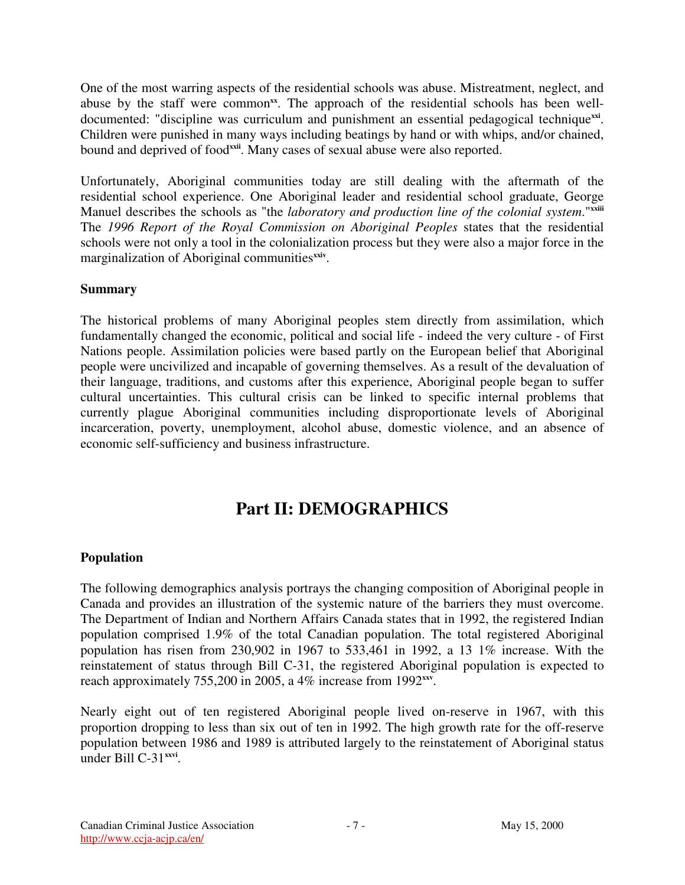One of the most warring aspects of the residential schools was abuse. Mistreatment, neglect, and abuse by the staff were common<sup>xx</sup>. The approach of the residential schools has been welldocumented: "discipline was curriculum and punishment an essential pedagogical techniquexxi. Children were punished in many ways including beatings by hand or with whips, and/or chained, bound and deprived of food<sup>xxii</sup>. Many cases of sexual abuse were also reported.

Unfortunately, Aboriginal communities today are still dealing with the aftermath of the residential school experience. One Aboriginal leader and residential school graduate, George Manuel describes the schools as "the *laboratory and production line of the colonial system*." **xxiii** The *1996 Report of the Royal Commission on Aboriginal Peoples* states that the residential schools were not only a tool in the colonialization process but they were also a major force in the marginalization of Aboriginal communitiesxxiv.

## **Summary**

The historical problems of many Aboriginal peoples stem directly from assimilation, which fundamentally changed the economic, political and social life - indeed the very culture - of First Nations people. Assimilation policies were based partly on the European belief that Aboriginal people were uncivilized and incapable of governing themselves. As a result of the devaluation of their language, traditions, and customs after this experience, Aboriginal people began to suffer cultural uncertainties. This cultural crisis can be linked to specific internal problems that currently plague Aboriginal communities including disproportionate levels of Aboriginal incarceration, poverty, unemployment, alcohol abuse, domestic violence, and an absence of economic self-sufficiency and business infrastructure.

# **Part II: DEMOGRAPHICS**

# **Population**

The following demographics analysis portrays the changing composition of Aboriginal people in Canada and provides an illustration of the systemic nature of the barriers they must overcome. The Department of Indian and Northern Affairs Canada states that in 1992, the registered Indian population comprised 1.9% of the total Canadian population. The total registered Aboriginal population has risen from 230,902 in 1967 to 533,461 in 1992, a 13 1% increase. With the reinstatement of status through Bill C-31, the registered Aboriginal population is expected to reach approximately 755,200 in 2005, a 4% increase from 1992<sup>xxv</sup>.

Nearly eight out of ten registered Aboriginal people lived on-reserve in 1967, with this proportion dropping to less than six out of ten in 1992. The high growth rate for the off-reserve population between 1986 and 1989 is attributed largely to the reinstatement of Aboriginal status under Bill C-31 **xxvi** .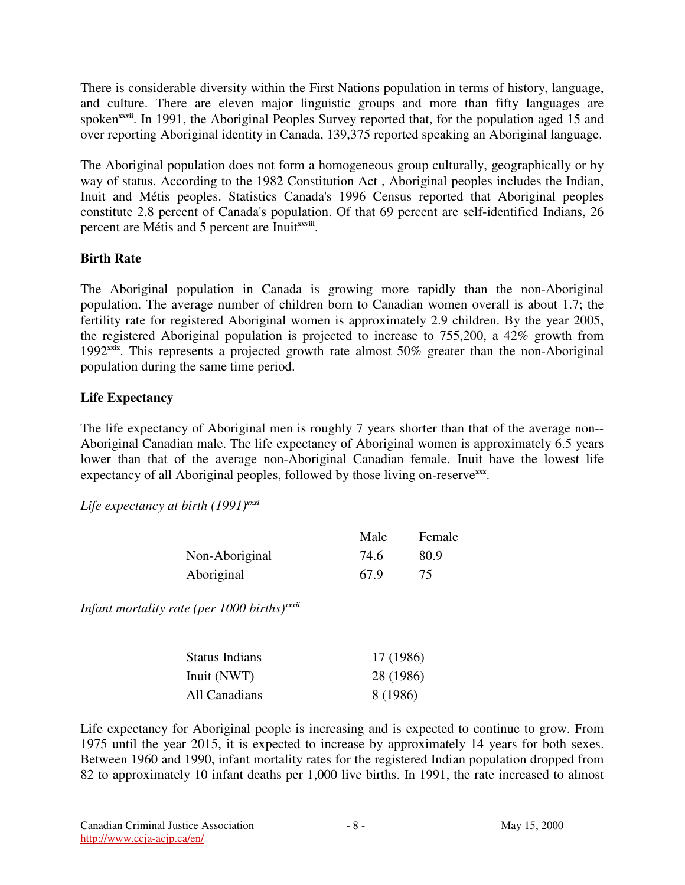There is considerable diversity within the First Nations population in terms of history, language, and culture. There are eleven major linguistic groups and more than fifty languages are spoken<sup>xxvii</sup>. In 1991, the Aboriginal Peoples Survey reported that, for the population aged 15 and over reporting Aboriginal identity in Canada, 139,375 reported speaking an Aboriginal language.

The Aboriginal population does not form a homogeneous group culturally, geographically or by way of status. According to the 1982 Constitution Act , Aboriginal peoples includes the Indian, Inuit and Métis peoples. Statistics Canada's 1996 Census reported that Aboriginal peoples constitute 2.8 percent of Canada's population. Of that 69 percent are self-identified Indians, 26 percent are Métis and 5 percent are Inuitxxviii.

## **Birth Rate**

The Aboriginal population in Canada is growing more rapidly than the non-Aboriginal population. The average number of children born to Canadian women overall is about 1.7; the fertility rate for registered Aboriginal women is approximately 2.9 children. By the year 2005, the registered Aboriginal population is projected to increase to 755,200, a 42% growth from 1992<sup>xxix</sup>. This represents a projected growth rate almost 50% greater than the non-Aboriginal population during the same time period.

## **Life Expectancy**

The life expectancy of Aboriginal men is roughly 7 years shorter than that of the average non-- Aboriginal Canadian male. The life expectancy of Aboriginal women is approximately 6.5 years lower than that of the average non-Aboriginal Canadian female. Inuit have the lowest life expectancy of all Aboriginal peoples, followed by those living on-reserve<sup>xxx</sup>.

*Life expectancy at birth (1991) xxxi*

|                | Male | Female |
|----------------|------|--------|
| Non-Aboriginal | 74.6 | 80.9   |
| Aboriginal     | 67.9 | 75     |

*Infant mortality rate (per 1000 births) xxxii*

| <b>Status Indians</b> | 17 (1986) |
|-----------------------|-----------|
| Inuit (NWT)           | 28 (1986) |
| All Canadians         | 8 (1986)  |

Life expectancy for Aboriginal people is increasing and is expected to continue to grow. From 1975 until the year 2015, it is expected to increase by approximately 14 years for both sexes. Between 1960 and 1990, infant mortality rates for the registered Indian population dropped from 82 to approximately 10 infant deaths per 1,000 live births. In 1991, the rate increased to almost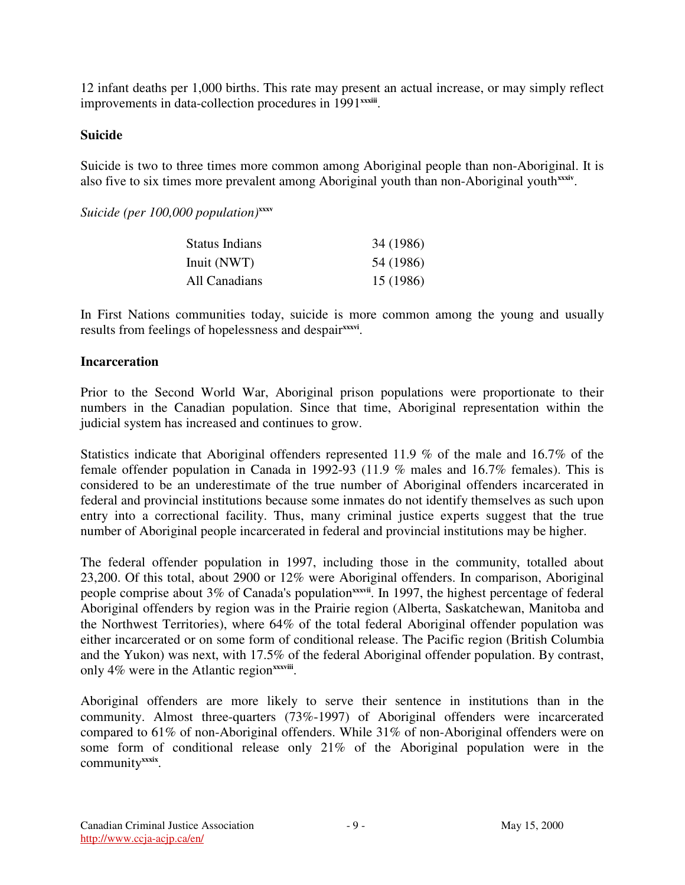12 infant deaths per 1,000 births. This rate may present an actual increase, or may simply reflect improvements in data-collection procedures in 1991<sup>xxxiii</sup>.

#### **Suicide**

Suicide is two to three times more common among Aboriginal people than non-Aboriginal. It is also five to six times more prevalent among Aboriginal youth than non-Aboriginal youth<sup>xxxiv</sup>.

*Suicide (per 100,000 population)* **xxxv**

| <b>Status Indians</b> | 34 (1986) |
|-----------------------|-----------|
| Inuit (NWT)           | 54 (1986) |
| All Canadians         | 15 (1986) |

In First Nations communities today, suicide is more common among the young and usually results from feelings of hopelessness and despair<sup>xxxvi</sup>.

#### **Incarceration**

Prior to the Second World War, Aboriginal prison populations were proportionate to their numbers in the Canadian population. Since that time, Aboriginal representation within the judicial system has increased and continues to grow.

Statistics indicate that Aboriginal offenders represented 11.9 % of the male and 16.7% of the female offender population in Canada in 1992-93 (11.9 % males and 16.7% females). This is considered to be an underestimate of the true number of Aboriginal offenders incarcerated in federal and provincial institutions because some inmates do not identify themselves as such upon entry into a correctional facility. Thus, many criminal justice experts suggest that the true number of Aboriginal people incarcerated in federal and provincial institutions may be higher.

The federal offender population in 1997, including those in the community, totalled about 23,200. Of this total, about 2900 or 12% were Aboriginal offenders. In comparison, Aboriginal people comprise about 3% of Canada's population<sup>xxxvii</sup>. In 1997, the highest percentage of federal Aboriginal offenders by region was in the Prairie region (Alberta, Saskatchewan, Manitoba and the Northwest Territories), where 64% of the total federal Aboriginal offender population was either incarcerated or on some form of conditional release. The Pacific region (British Columbia and the Yukon) was next, with 17.5% of the federal Aboriginal offender population. By contrast, only 4% were in the Atlantic region<sup>xxxviii</sup>.

Aboriginal offenders are more likely to serve their sentence in institutions than in the community. Almost three-quarters (73%-1997) of Aboriginal offenders were incarcerated compared to 61% of non-Aboriginal offenders. While 31% of non-Aboriginal offenders were on some form of conditional release only 21% of the Aboriginal population were in the community<sup>xxxix</sup>.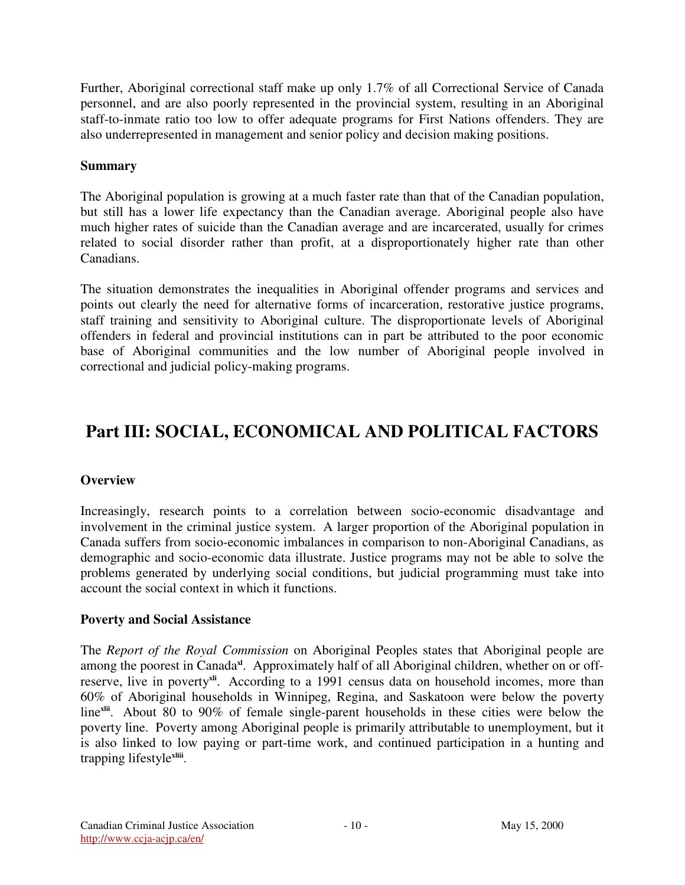Further, Aboriginal correctional staff make up only 1.7% of all Correctional Service of Canada personnel, and are also poorly represented in the provincial system, resulting in an Aboriginal staff-to-inmate ratio too low to offer adequate programs for First Nations offenders. They are also underrepresented in management and senior policy and decision making positions.

#### **Summary**

The Aboriginal population is growing at a much faster rate than that of the Canadian population, but still has a lower life expectancy than the Canadian average. Aboriginal people also have much higher rates of suicide than the Canadian average and are incarcerated, usually for crimes related to social disorder rather than profit, at a disproportionately higher rate than other Canadians.

The situation demonstrates the inequalities in Aboriginal offender programs and services and points out clearly the need for alternative forms of incarceration, restorative justice programs, staff training and sensitivity to Aboriginal culture. The disproportionate levels of Aboriginal offenders in federal and provincial institutions can in part be attributed to the poor economic base of Aboriginal communities and the low number of Aboriginal people involved in correctional and judicial policy-making programs.

# **Part III: SOCIAL, ECONOMICAL AND POLITICAL FACTORS**

#### **Overview**

Increasingly, research points to a correlation between socio-economic disadvantage and involvement in the criminal justice system. A larger proportion of the Aboriginal population in Canada suffers from socio-economic imbalances in comparison to non-Aboriginal Canadians, as demographic and socio-economic data illustrate. Justice programs may not be able to solve the problems generated by underlying social conditions, but judicial programming must take into account the social context in which it functions.

#### **Poverty and Social Assistance**

The *Report of the Royal Commission* on Aboriginal Peoples states that Aboriginal people are among the poorest in Canada<sup>x</sup>. Approximately half of all Aboriginal children, whether on or offreserve, live in poverty<sup>xii</sup>. According to a 1991 census data on household incomes, more than 60% of Aboriginal households in Winnipeg, Regina, and Saskatoon were below the poverty line<sup>xlii</sup>. About 80 to 90% of female single-parent households in these cities were below the poverty line. Poverty among Aboriginal people is primarily attributable to unemployment, but it is also linked to low paying or part-time work, and continued participation in a hunting and trapping lifestyle<sup>xliii</sup>.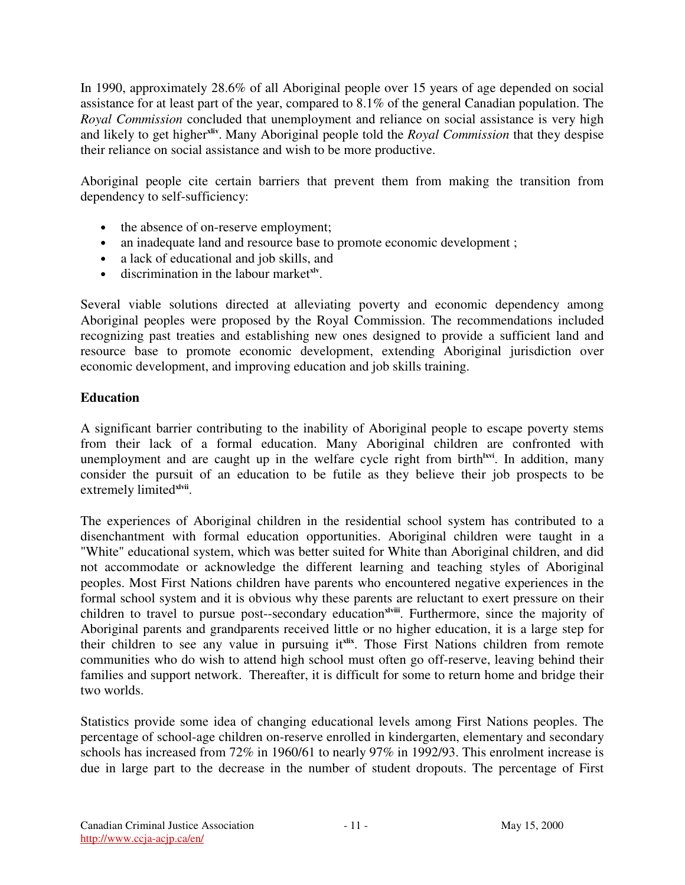In 1990, approximately 28.6% of all Aboriginal people over 15 years of age depended on social assistance for at least part of the year, compared to 8.1% of the general Canadian population. The *Royal Commission* concluded that unemployment and reliance on social assistance is very high and likely to get higher<sup>xliv</sup>. Many Aboriginal people told the *Royal Commission* that they despise their reliance on social assistance and wish to be more productive.

Aboriginal people cite certain barriers that prevent them from making the transition from dependency to self-sufficiency:

- the absence of on-reserve employment;
- an inadequate land and resource base to promote economic development;
- a lack of educational and job skills, and
- discrimination in the labour market **xlv** .

Several viable solutions directed at alleviating poverty and economic dependency among Aboriginal peoples were proposed by the Royal Commission. The recommendations included recognizing past treaties and establishing new ones designed to provide a sufficient land and resource base to promote economic development, extending Aboriginal jurisdiction over economic development, and improving education and job skills training.

#### **Education**

A significant barrier contributing to the inability of Aboriginal people to escape poverty stems from their lack of a formal education. Many Aboriginal children are confronted with unemployment and are caught up in the welfare cycle right from birth<sup>lxvi</sup>. In addition, many consider the pursuit of an education to be futile as they believe their job prospects to be extremely limited<sup>xlvii</sup>.

The experiences of Aboriginal children in the residential school system has contributed to a disenchantment with formal education opportunities. Aboriginal children were taught in a "White" educational system, which was better suited for White than Aboriginal children, and did not accommodate or acknowledge the different learning and teaching styles of Aboriginal peoples. Most First Nations children have parents who encountered negative experiences in the formal school system and it is obvious why these parents are reluctant to exert pressure on their children to travel to pursue post--secondary education<sup>xlviii</sup>. Furthermore, since the majority of Aboriginal parents and grandparents received little or no higher education, it is a large step for their children to see any value in pursuing it<sup>xlix</sup>. Those First Nations children from remote communities who do wish to attend high school must often go off-reserve, leaving behind their families and support network. Thereafter, it is difficult for some to return home and bridge their two worlds.

Statistics provide some idea of changing educational levels among First Nations peoples. The percentage of school-age children on-reserve enrolled in kindergarten, elementary and secondary schools has increased from 72% in 1960/61 to nearly 97% in 1992/93. This enrolment increase is due in large part to the decrease in the number of student dropouts. The percentage of First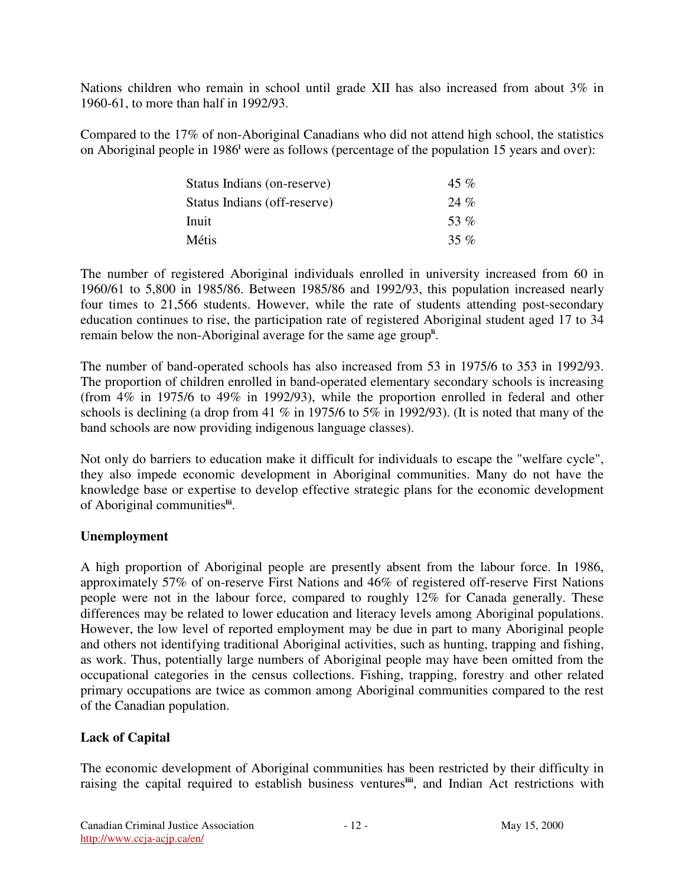Nations children who remain in school until grade XII has also increased from about 3% in 1960-61, to more than half in 1992/93.

Compared to the 17% of non-Aboriginal Canadians who did not attend high school, the statistics on Aboriginal people in 1986<sup>1</sup> were as follows (percentage of the population 15 years and over):

| Status Indians (on-reserve)  | 45 %    |
|------------------------------|---------|
| Status Indians (off-reserve) | $24\%$  |
| Inuit                        | 53 $\%$ |
| Métis                        | 35 %    |

The number of registered Aboriginal individuals enrolled in university increased from 60 in 1960/61 to 5,800 in 1985/86. Between 1985/86 and 1992/93, this population increased nearly four times to 21,566 students. However, while the rate of students attending post-secondary education continues to rise, the participation rate of registered Aboriginal student aged 17 to 34 remain below the non-Aboriginal average for the same age group<sup>ii</sup>.

The number of band-operated schools has also increased from 53 in 1975/6 to 353 in 1992/93. The proportion of children enrolled in band-operated elementary secondary schools is increasing (from 4% in 1975/6 to 49% in 1992/93), while the proportion enrolled in federal and other schools is declining (a drop from 41  $\%$  in 1975/6 to 5 $\%$  in 1992/93). (It is noted that many of the band schools are now providing indigenous language classes).

Not only do barriers to education make it difficult for individuals to escape the "welfare cycle", they also impede economic development in Aboriginal communities. Many do not have the knowledge base or expertise to develop effective strategic plans for the economic development of Aboriginal communities<sup>iii</sup>.

#### **Unemployment**

A high proportion of Aboriginal people are presently absent from the labour force. In 1986, approximately 57% of on-reserve First Nations and 46% of registered off-reserve First Nations people were not in the labour force, compared to roughly 12% for Canada generally. These differences may be related to lower education and literacy levels among Aboriginal populations. However, the low level of reported employment may be due in part to many Aboriginal people and others not identifying traditional Aboriginal activities, such as hunting, trapping and fishing, as work. Thus, potentially large numbers of Aboriginal people may have been omitted from the occupational categories in the census collections. Fishing, trapping, forestry and other related primary occupations are twice as common among Aboriginal communities compared to the rest of the Canadian population.

# **Lack of Capital**

The economic development of Aboriginal communities has been restricted by their difficulty in raising the capital required to establish business ventures<sup>liif</sup>, and Indian Act restrictions with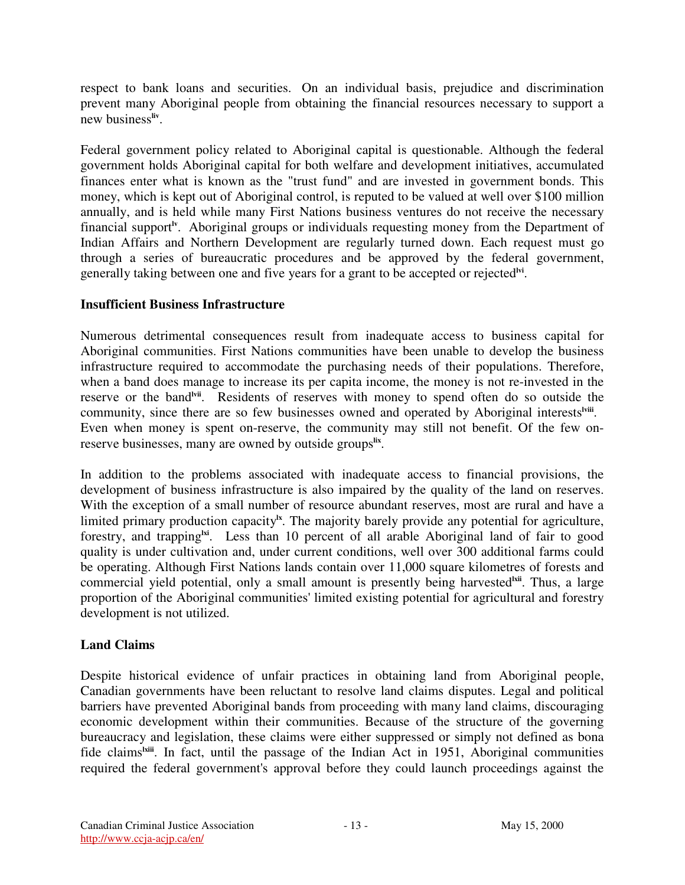respect to bank loans and securities. On an individual basis, prejudice and discrimination prevent many Aboriginal people from obtaining the financial resources necessary to support a new business<sup>liv</sup>.

Federal government policy related to Aboriginal capital is questionable. Although the federal government holds Aboriginal capital for both welfare and development initiatives, accumulated finances enter what is known as the "trust fund" and are invested in government bonds. This money, which is kept out of Aboriginal control, is reputed to be valued at well over \$100 million annually, and is held while many First Nations business ventures do not receive the necessary financial support<sup>ly</sup>. Aboriginal groups or individuals requesting money from the Department of Indian Affairs and Northern Development are regularly turned down. Each request must go through a series of bureaucratic procedures and be approved by the federal government, generally taking between one and five years for a grant to be accepted or rejected<sup>lvi</sup>.

#### **Insufficient Business Infrastructure**

Numerous detrimental consequences result from inadequate access to business capital for Aboriginal communities. First Nations communities have been unable to develop the business infrastructure required to accommodate the purchasing needs of their populations. Therefore, when a band does manage to increase its per capita income, the money is not re-invested in the reserve or the band<sup>lvii</sup>. Residents of reserves with money to spend often do so outside the community, since there are so few businesses owned and operated by Aboriginal interests<sup>lviii</sup>. Even when money is spent on-reserve, the community may still not benefit. Of the few onreserve businesses, many are owned by outside groups<sup>lix</sup>.

In addition to the problems associated with inadequate access to financial provisions, the development of business infrastructure is also impaired by the quality of the land on reserves. With the exception of a small number of resource abundant reserves, most are rural and have a limited primary production capacity<sup>lx</sup>. The majority barely provide any potential for agriculture, forestry, and trapping<sup>lxi</sup>. Less than 10 percent of all arable Aboriginal land of fair to good quality is under cultivation and, under current conditions, well over 300 additional farms could be operating. Although First Nations lands contain over 11,000 square kilometres of forests and commercial yield potential, only a small amount is presently being harvested<sup>lxii</sup>. Thus, a large proportion of the Aboriginal communities' limited existing potential for agricultural and forestry development is not utilized.

# **Land Claims**

Despite historical evidence of unfair practices in obtaining land from Aboriginal people, Canadian governments have been reluctant to resolve land claims disputes. Legal and political barriers have prevented Aboriginal bands from proceeding with many land claims, discouraging economic development within their communities. Because of the structure of the governing bureaucracy and legislation, these claims were either suppressed or simply not defined as bona fide claims<sup>lxiii</sup>. In fact, until the passage of the Indian Act in 1951, Aboriginal communities required the federal government's approval before they could launch proceedings against the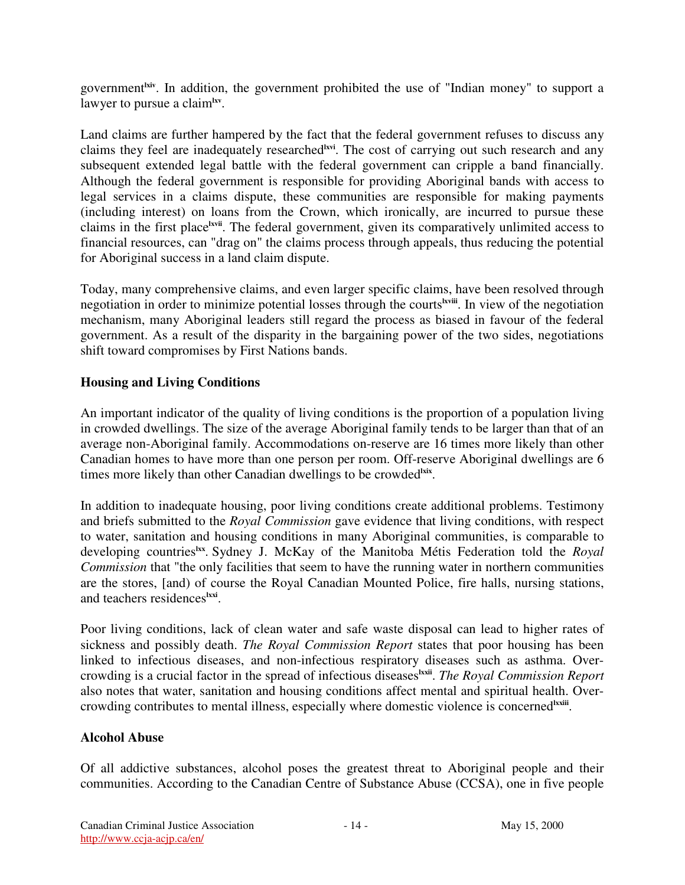government<sup>lxiv</sup>. In addition, the government prohibited the use of "Indian money" to support a lawyer to pursue a claim**lxv** .

Land claims are further hampered by the fact that the federal government refuses to discuss any claims they feel are inadequately researched<sup>lavi</sup>. The cost of carrying out such research and any subsequent extended legal battle with the federal government can cripple a band financially. Although the federal government is responsible for providing Aboriginal bands with access to legal services in a claims dispute, these communities are responsible for making payments (including interest) on loans from the Crown, which ironically, are incurred to pursue these claims in the first place<sup>lxvii</sup>. The federal government, given its comparatively unlimited access to financial resources, can "drag on" the claims process through appeals, thus reducing the potential for Aboriginal success in a land claim dispute.

Today, many comprehensive claims, and even larger specific claims, have been resolved through negotiation in order to minimize potential losses through the courts<sup>tiviii</sup>. In view of the negotiation mechanism, many Aboriginal leaders still regard the process as biased in favour of the federal government. As a result of the disparity in the bargaining power of the two sides, negotiations shift toward compromises by First Nations bands.

## **Housing and Living Conditions**

An important indicator of the quality of living conditions is the proportion of a population living in crowded dwellings. The size of the average Aboriginal family tends to be larger than that of an average non-Aboriginal family. Accommodations on-reserve are 16 times more likely than other Canadian homes to have more than one person per room. Off-reserve Aboriginal dwellings are 6 times more likely than other Canadian dwellings to be crowded<sup>hix</sup>.

In addition to inadequate housing, poor living conditions create additional problems. Testimony and briefs submitted to the *Royal Commission* gave evidence that living conditions, with respect to water, sanitation and housing conditions in many Aboriginal communities, is comparable to developing countries<sup>lxx</sup>. Sydney J. McKay of the Manitoba Métis Federation told the *Royal Commission* that "the only facilities that seem to have the running water in northern communities are the stores, [and) of course the Royal Canadian Mounted Police, fire halls, nursing stations, and teachers residences<sup>lxxi</sup>.

Poor living conditions, lack of clean water and safe waste disposal can lead to higher rates of sickness and possibly death. *The Royal Commission Report* states that poor housing has been linked to infectious diseases, and non-infectious respiratory diseases such as asthma. Overcrowding is a crucial factor in the spread of infectious diseases **lxxii** . *The Royal Commission Report* also notes that water, sanitation and housing conditions affect mental and spiritual health. Overcrowding contributes to mental illness, especially where domestic violence is concerned<sup>lxxiii</sup>.

# **Alcohol Abuse**

Of all addictive substances, alcohol poses the greatest threat to Aboriginal people and their communities. According to the Canadian Centre of Substance Abuse (CCSA), one in five people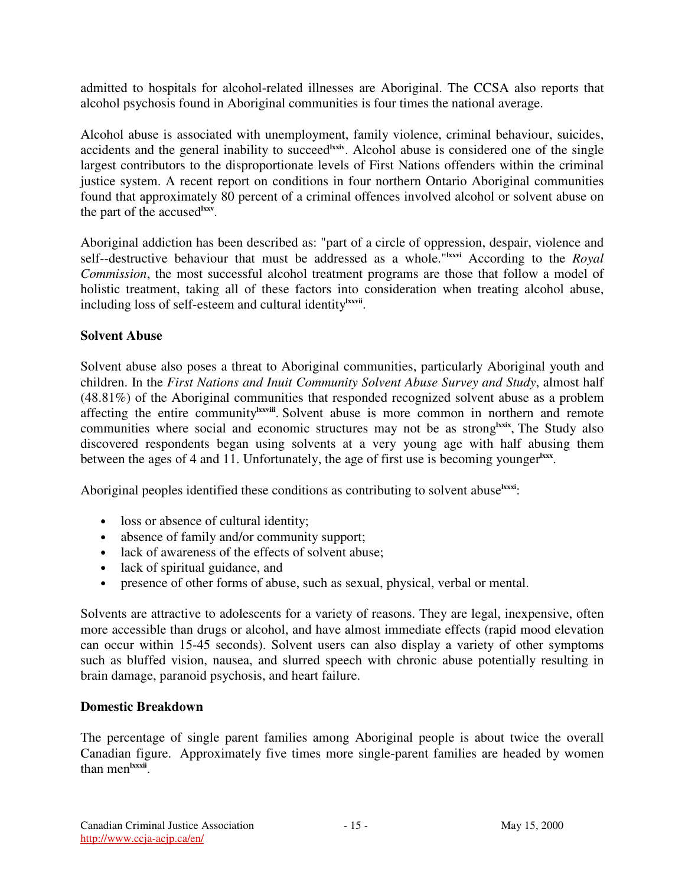admitted to hospitals for alcohol-related illnesses are Aboriginal. The CCSA also reports that alcohol psychosis found in Aboriginal communities is four times the national average.

Alcohol abuse is associated with unemployment, family violence, criminal behaviour, suicides, accidents and the general inability to succeed<sup>lxxiv</sup>. Alcohol abuse is considered one of the single largest contributors to the disproportionate levels of First Nations offenders within the criminal justice system. A recent report on conditions in four northern Ontario Aboriginal communities found that approximately 80 percent of a criminal offences involved alcohol or solvent abuse on the part of the accused **lxxv** .

Aboriginal addiction has been described as: "part of a circle of oppression, despair, violence and self--destructive behaviour that must be addressed as a whole."<sup>Ixxvi</sup> According to the *Royal Commission*, the most successful alcohol treatment programs are those that follow a model of holistic treatment, taking all of these factors into consideration when treating alcohol abuse, including loss of self-esteem and cultural identity<sup>lxxvii</sup>.

## **Solvent Abuse**

Solvent abuse also poses a threat to Aboriginal communities, particularly Aboriginal youth and children. In the *First Nations and Inuit Community Solvent Abuse Survey and Study*, almost half (48.81%) of the Aboriginal communities that responded recognized solvent abuse as a problem affecting the entire community<sup>lxxvii</sup>. Solvent abuse is more common in northern and remote communities where social and economic structures may not be as strong<sup>lixix</sup>, The Study also discovered respondents began using solvents at a very young age with half abusing them between the ages of 4 and 11. Unfortunately, the age of first use is becoming younger<sup>lxxx</sup>.

Aboriginal peoples identified these conditions as contributing to solvent abuse<sup>lxxxi</sup>:

- loss or absence of cultural identity;
- absence of family and/or community support;
- lack of awareness of the effects of solvent abuse;
- lack of spiritual guidance, and
- presence of other forms of abuse, such as sexual, physical, verbal or mental.

Solvents are attractive to adolescents for a variety of reasons. They are legal, inexpensive, often more accessible than drugs or alcohol, and have almost immediate effects (rapid mood elevation can occur within 15-45 seconds). Solvent users can also display a variety of other symptoms such as bluffed vision, nausea, and slurred speech with chronic abuse potentially resulting in brain damage, paranoid psychosis, and heart failure.

#### **Domestic Breakdown**

The percentage of single parent families among Aboriginal people is about twice the overall Canadian figure. Approximately five times more single-parent families are headed by women than men<sup>lxxxii</sup>.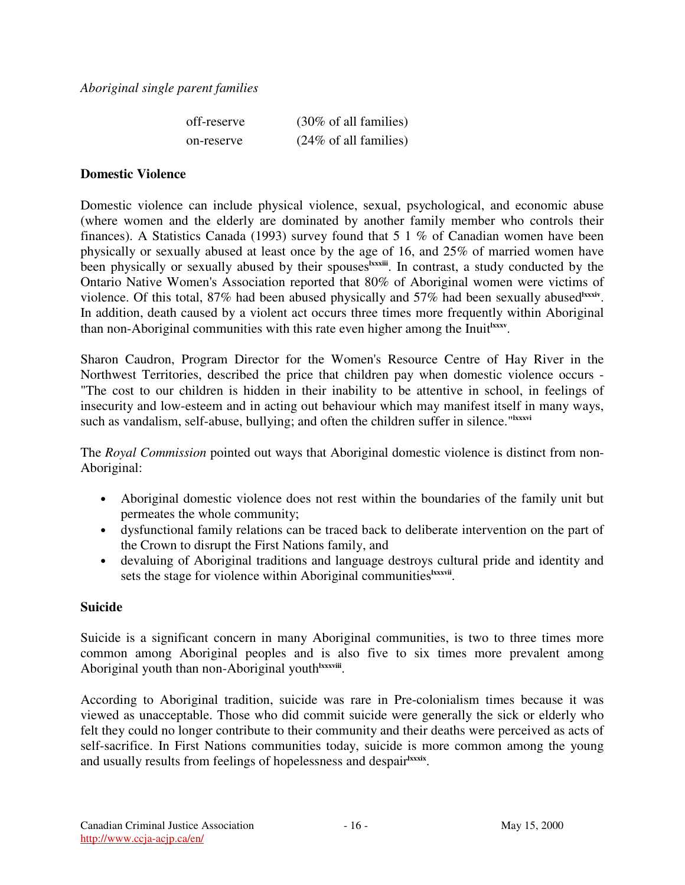| off-reserve | $(30\% \text{ of all families})$ |
|-------------|----------------------------------|
| on-reserve  | $(24\% \text{ of all families})$ |

#### **Domestic Violence**

Domestic violence can include physical violence, sexual, psychological, and economic abuse (where women and the elderly are dominated by another family member who controls their finances). A Statistics Canada (1993) survey found that 5 1 % of Canadian women have been physically or sexually abused at least once by the age of 16, and 25% of married women have been physically or sexually abused by their spouses<sup>lxxxii</sup>. In contrast, a study conducted by the Ontario Native Women's Association reported that 80% of Aboriginal women were victims of violence. Of this total, 87% had been abused physically and 57% had been sexually abused<sup>1xxxiv</sup>. In addition, death caused by a violent act occurs three times more frequently within Aboriginal than non-Aboriginal communities with this rate even higher among the Inuit<sup>hxxx</sup>.

Sharon Caudron, Program Director for the Women's Resource Centre of Hay River in the Northwest Territories, described the price that children pay when domestic violence occurs - "The cost to our children is hidden in their inability to be attentive in school, in feelings of insecurity and low-esteem and in acting out behaviour which may manifest itself in many ways, such as vandalism, self-abuse, bullying; and often the children suffer in silence."<sup>Ixxxvi</sup>

The *Royal Commission* pointed out ways that Aboriginal domestic violence is distinct from non-Aboriginal:

- Aboriginal domestic violence does not rest within the boundaries of the family unit but permeates the whole community;
- dysfunctional family relations can be traced back to deliberate intervention on the part of the Crown to disrupt the First Nations family, and
- devaluing of Aboriginal traditions and language destroys cultural pride and identity and sets the stage for violence within Aboriginal communities<sup>lxxxvii</sup>.

#### **Suicide**

Suicide is a significant concern in many Aboriginal communities, is two to three times more common among Aboriginal peoples and is also five to six times more prevalent among Aboriginal youth than non-Aboriginal youth<sup>lxxxviii</sup>.

According to Aboriginal tradition, suicide was rare in Pre-colonialism times because it was viewed as unacceptable. Those who did commit suicide were generally the sick or elderly who felt they could no longer contribute to their community and their deaths were perceived as acts of self-sacrifice. In First Nations communities today, suicide is more common among the young and usually results from feelings of hopelessness and despairkxxix.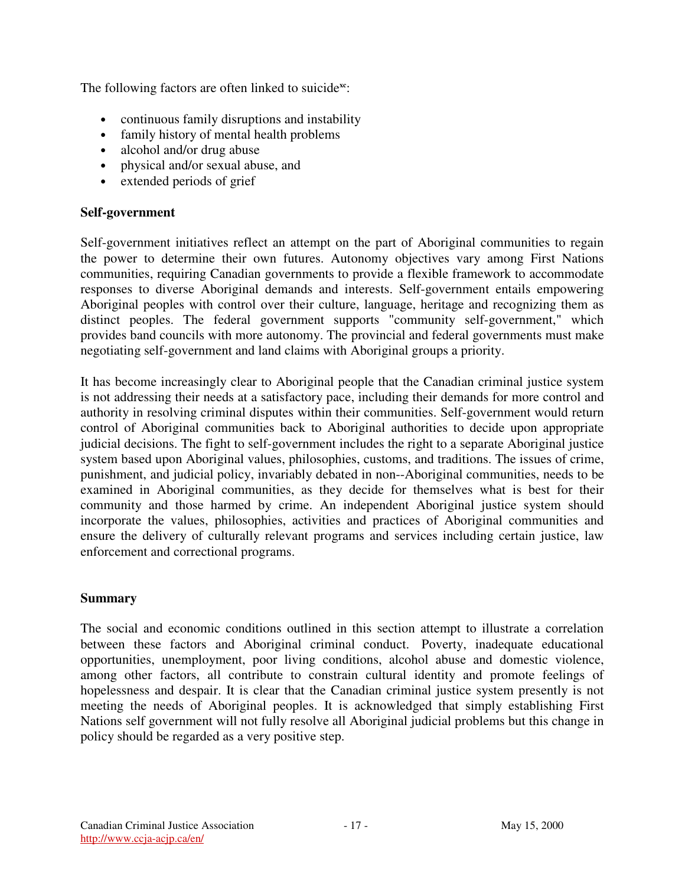The following factors are often linked to suicide<sup>xc</sup>:

- continuous family disruptions and instability
- family history of mental health problems
- alcohol and/or drug abuse
- physical and/or sexual abuse, and
- extended periods of grief

#### **Self-government**

Self-government initiatives reflect an attempt on the part of Aboriginal communities to regain the power to determine their own futures. Autonomy objectives vary among First Nations communities, requiring Canadian governments to provide a flexible framework to accommodate responses to diverse Aboriginal demands and interests. Self-government entails empowering Aboriginal peoples with control over their culture, language, heritage and recognizing them as distinct peoples. The federal government supports "community self-government," which provides band councils with more autonomy. The provincial and federal governments must make negotiating self-government and land claims with Aboriginal groups a priority.

It has become increasingly clear to Aboriginal people that the Canadian criminal justice system is not addressing their needs at a satisfactory pace, including their demands for more control and authority in resolving criminal disputes within their communities. Self-government would return control of Aboriginal communities back to Aboriginal authorities to decide upon appropriate judicial decisions. The fight to self-government includes the right to a separate Aboriginal justice system based upon Aboriginal values, philosophies, customs, and traditions. The issues of crime, punishment, and judicial policy, invariably debated in non--Aboriginal communities, needs to be examined in Aboriginal communities, as they decide for themselves what is best for their community and those harmed by crime. An independent Aboriginal justice system should incorporate the values, philosophies, activities and practices of Aboriginal communities and ensure the delivery of culturally relevant programs and services including certain justice, law enforcement and correctional programs.

#### **Summary**

The social and economic conditions outlined in this section attempt to illustrate a correlation between these factors and Aboriginal criminal conduct. Poverty, inadequate educational opportunities, unemployment, poor living conditions, alcohol abuse and domestic violence, among other factors, all contribute to constrain cultural identity and promote feelings of hopelessness and despair. It is clear that the Canadian criminal justice system presently is not meeting the needs of Aboriginal peoples. It is acknowledged that simply establishing First Nations self government will not fully resolve all Aboriginal judicial problems but this change in policy should be regarded as a very positive step.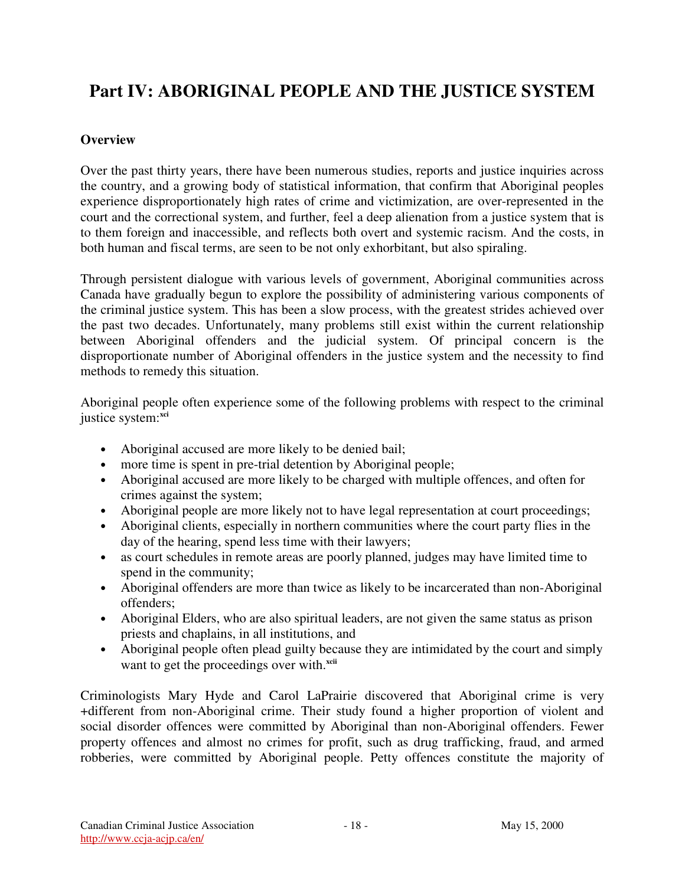# **Part IV: ABORIGINAL PEOPLE AND THE JUSTICE SYSTEM**

## **Overview**

Over the past thirty years, there have been numerous studies, reports and justice inquiries across the country, and a growing body of statistical information, that confirm that Aboriginal peoples experience disproportionately high rates of crime and victimization, are over-represented in the court and the correctional system, and further, feel a deep alienation from a justice system that is to them foreign and inaccessible, and reflects both overt and systemic racism. And the costs, in both human and fiscal terms, are seen to be not only exhorbitant, but also spiraling.

Through persistent dialogue with various levels of government, Aboriginal communities across Canada have gradually begun to explore the possibility of administering various components of the criminal justice system. This has been a slow process, with the greatest strides achieved over the past two decades. Unfortunately, many problems still exist within the current relationship between Aboriginal offenders and the judicial system. Of principal concern is the disproportionate number of Aboriginal offenders in the justice system and the necessity to find methods to remedy this situation.

Aboriginal people often experience some of the following problems with respect to the criminal justice system: **xci**

- Aboriginal accused are more likely to be denied bail;
- more time is spent in pre-trial detention by Aboriginal people;
- Aboriginal accused are more likely to be charged with multiple offences, and often for crimes against the system;
- Aboriginal people are more likely not to have legal representation at court proceedings;
- Aboriginal clients, especially in northern communities where the court party flies in the day of the hearing, spend less time with their lawyers;
- as court schedules in remote areas are poorly planned, judges may have limited time to spend in the community;
- Aboriginal offenders are more than twice as likely to be incarcerated than non-Aboriginal offenders;
- Aboriginal Elders, who are also spiritual leaders, are not given the same status as prison priests and chaplains, in all institutions, and
- Aboriginal people often plead guilty because they are intimidated by the court and simply want to get the proceedings over with.<sup>xcii</sup>

Criminologists Mary Hyde and Carol LaPrairie discovered that Aboriginal crime is very +different from non-Aboriginal crime. Their study found a higher proportion of violent and social disorder offences were committed by Aboriginal than non-Aboriginal offenders. Fewer property offences and almost no crimes for profit, such as drug trafficking, fraud, and armed robberies, were committed by Aboriginal people. Petty offences constitute the majority of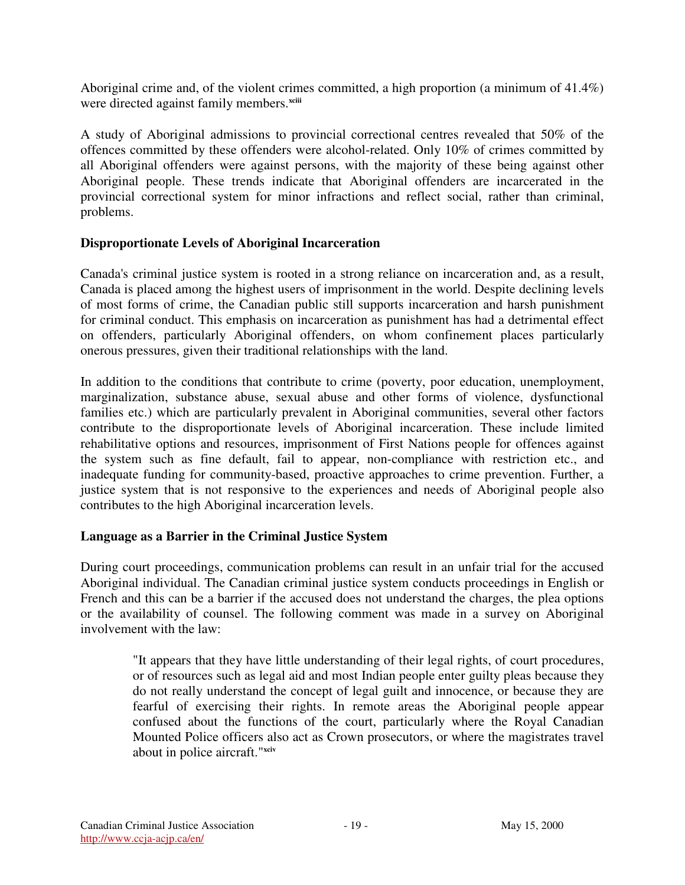Aboriginal crime and, of the violent crimes committed, a high proportion (a minimum of 41.4%) were directed against family members.<sup>xciii</sup>

A study of Aboriginal admissions to provincial correctional centres revealed that 50% of the offences committed by these offenders were alcohol-related. Only 10% of crimes committed by all Aboriginal offenders were against persons, with the majority of these being against other Aboriginal people. These trends indicate that Aboriginal offenders are incarcerated in the provincial correctional system for minor infractions and reflect social, rather than criminal, problems.

#### **Disproportionate Levels of Aboriginal Incarceration**

Canada's criminal justice system is rooted in a strong reliance on incarceration and, as a result, Canada is placed among the highest users of imprisonment in the world. Despite declining levels of most forms of crime, the Canadian public still supports incarceration and harsh punishment for criminal conduct. This emphasis on incarceration as punishment has had a detrimental effect on offenders, particularly Aboriginal offenders, on whom confinement places particularly onerous pressures, given their traditional relationships with the land.

In addition to the conditions that contribute to crime (poverty, poor education, unemployment, marginalization, substance abuse, sexual abuse and other forms of violence, dysfunctional families etc.) which are particularly prevalent in Aboriginal communities, several other factors contribute to the disproportionate levels of Aboriginal incarceration. These include limited rehabilitative options and resources, imprisonment of First Nations people for offences against the system such as fine default, fail to appear, non-compliance with restriction etc., and inadequate funding for community-based, proactive approaches to crime prevention. Further, a justice system that is not responsive to the experiences and needs of Aboriginal people also contributes to the high Aboriginal incarceration levels.

#### **Language as a Barrier in the Criminal Justice System**

During court proceedings, communication problems can result in an unfair trial for the accused Aboriginal individual. The Canadian criminal justice system conducts proceedings in English or French and this can be a barrier if the accused does not understand the charges, the plea options or the availability of counsel. The following comment was made in a survey on Aboriginal involvement with the law:

"It appears that they have little understanding of their legal rights, of court procedures, or of resources such as legal aid and most Indian people enter guilty pleas because they do not really understand the concept of legal guilt and innocence, or because they are fearful of exercising their rights. In remote areas the Aboriginal people appear confused about the functions of the court, particularly where the Royal Canadian Mounted Police officers also act as Crown prosecutors, or where the magistrates travel about in police aircraft." **xciv**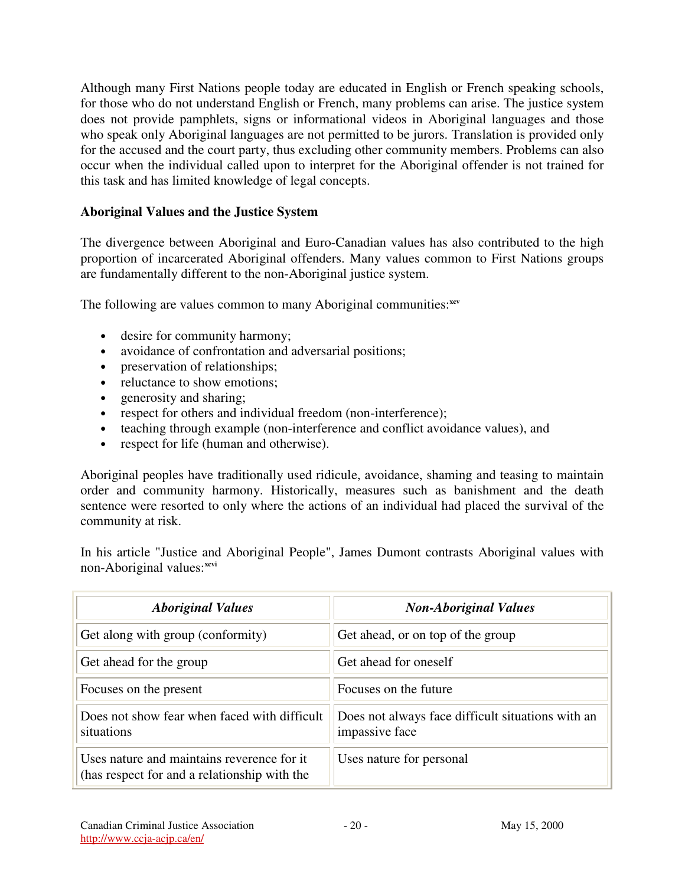Although many First Nations people today are educated in English or French speaking schools, for those who do not understand English or French, many problems can arise. The justice system does not provide pamphlets, signs or informational videos in Aboriginal languages and those who speak only Aboriginal languages are not permitted to be jurors. Translation is provided only for the accused and the court party, thus excluding other community members. Problems can also occur when the individual called upon to interpret for the Aboriginal offender is not trained for this task and has limited knowledge of legal concepts.

## **Aboriginal Values and the Justice System**

The divergence between Aboriginal and Euro-Canadian values has also contributed to the high proportion of incarcerated Aboriginal offenders. Many values common to First Nations groups are fundamentally different to the non-Aboriginal justice system.

The following are values common to many Aboriginal communities:<sup>xcv</sup>

- desire for community harmony;
- avoidance of confrontation and adversarial positions;
- preservation of relationships;
- reluctance to show emotions;
- generosity and sharing;
- respect for others and individual freedom (non-interference);
- teaching through example (non-interference and conflict avoidance values), and
- respect for life (human and otherwise).

Aboriginal peoples have traditionally used ridicule, avoidance, shaming and teasing to maintain order and community harmony. Historically, measures such as banishment and the death sentence were resorted to only where the actions of an individual had placed the survival of the community at risk.

In his article "Justice and Aboriginal People", James Dumont contrasts Aboriginal values with non-Aboriginal values: **xcvi**

| <b>Aboriginal Values</b>                                                                    | <b>Non-Aboriginal Values</b>                                        |
|---------------------------------------------------------------------------------------------|---------------------------------------------------------------------|
| Get along with group (conformity)                                                           | Get ahead, or on top of the group                                   |
| Get ahead for the group                                                                     | Get ahead for oneself                                               |
| Focuses on the present                                                                      | Focuses on the future                                               |
| Does not show fear when faced with difficult<br>situations                                  | Does not always face difficult situations with an<br>impassive face |
| Uses nature and maintains reverence for it.<br>(has respect for and a relationship with the | Uses nature for personal                                            |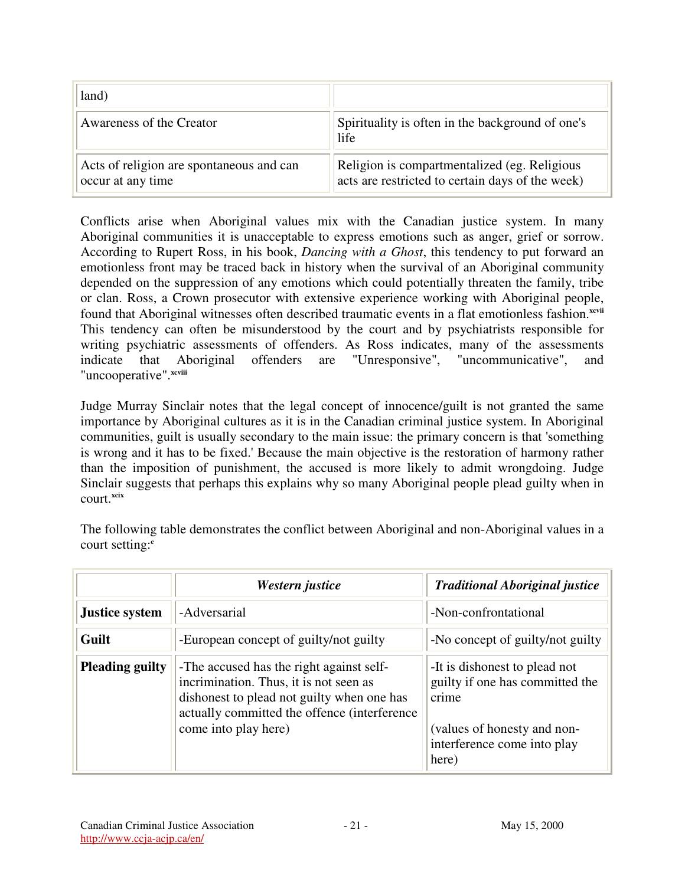| land)                                                         |                                                                                                  |
|---------------------------------------------------------------|--------------------------------------------------------------------------------------------------|
| Awareness of the Creator                                      | Spirituality is often in the background of one's<br>life                                         |
| Acts of religion are spontaneous and can<br>occur at any time | Religion is compartmentalized (eg. Religious<br>acts are restricted to certain days of the week) |

Conflicts arise when Aboriginal values mix with the Canadian justice system. In many Aboriginal communities it is unacceptable to express emotions such as anger, grief or sorrow. According to Rupert Ross, in his book, *Dancing with a Ghost*, this tendency to put forward an emotionless front may be traced back in history when the survival of an Aboriginal community depended on the suppression of any emotions which could potentially threaten the family, tribe or clan. Ross, a Crown prosecutor with extensive experience working with Aboriginal people, found that Aboriginal witnesses often described traumatic events in a flat emotionless fashion.<sup>xcvii</sup> This tendency can often be misunderstood by the court and by psychiatrists responsible for writing psychiatric assessments of offenders. As Ross indicates, many of the assessments indicate that Aboriginal offenders are "Unresponsive", "uncommunicative", and "uncooperative".<sup>xcviii</sup>

Judge Murray Sinclair notes that the legal concept of innocence/guilt is not granted the same importance by Aboriginal cultures as it is in the Canadian criminal justice system. In Aboriginal communities, guilt is usually secondary to the main issue: the primary concern is that 'something is wrong and it has to be fixed.' Because the main objective is the restoration of harmony rather than the imposition of punishment, the accused is more likely to admit wrongdoing. Judge Sinclair suggests that perhaps this explains why so many Aboriginal people plead guilty when in court. **xcix**

The following table demonstrates the conflict between Aboriginal and non-Aboriginal values in a court setting: **c**

|                        | Western justice                                                                                                                                                                                          | <b>Traditional Aboriginal justice</b>                                                                                                            |
|------------------------|----------------------------------------------------------------------------------------------------------------------------------------------------------------------------------------------------------|--------------------------------------------------------------------------------------------------------------------------------------------------|
| <b>Justice system</b>  | -Adversarial                                                                                                                                                                                             | -Non-confrontational                                                                                                                             |
| Guilt                  | -European concept of guilty/not guilty                                                                                                                                                                   | -No concept of guilty/not guilty                                                                                                                 |
| <b>Pleading guilty</b> | -The accused has the right against self-<br>incrimination. Thus, it is not seen as<br>dishonest to plead not guilty when one has<br>actually committed the offence (interference<br>come into play here) | -It is dishonest to plead not<br>guilty if one has committed the<br>crime<br>(values of honesty and non-<br>interference come into play<br>here) |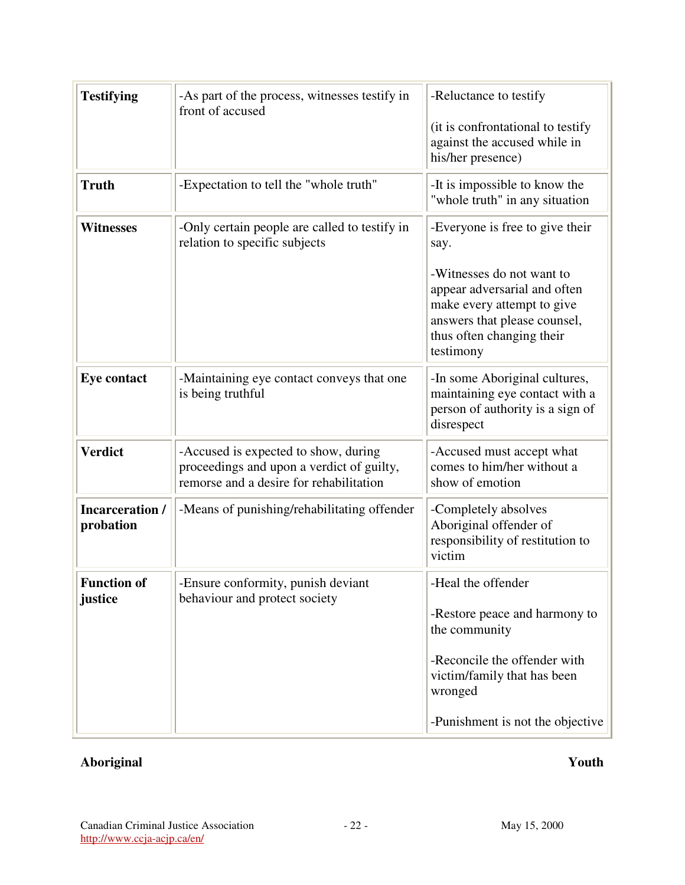| <b>Testifying</b>                   | -As part of the process, witnesses testify in<br>front of accused                                                            | -Reluctance to testify<br>(it is confrontational to testify<br>against the accused while in<br>his/her presence)                                                                                             |
|-------------------------------------|------------------------------------------------------------------------------------------------------------------------------|--------------------------------------------------------------------------------------------------------------------------------------------------------------------------------------------------------------|
| <b>Truth</b>                        | -Expectation to tell the "whole truth"                                                                                       | -It is impossible to know the<br>"whole truth" in any situation                                                                                                                                              |
| <b>Witnesses</b>                    | -Only certain people are called to testify in<br>relation to specific subjects                                               | -Everyone is free to give their<br>say.<br>-Witnesses do not want to<br>appear adversarial and often<br>make every attempt to give<br>answers that please counsel,<br>thus often changing their<br>testimony |
| <b>Eye contact</b>                  | -Maintaining eye contact conveys that one<br>is being truthful                                                               | -In some Aboriginal cultures,<br>maintaining eye contact with a<br>person of authority is a sign of<br>disrespect                                                                                            |
| <b>Verdict</b>                      | -Accused is expected to show, during<br>proceedings and upon a verdict of guilty,<br>remorse and a desire for rehabilitation | -Accused must accept what<br>comes to him/her without a<br>show of emotion                                                                                                                                   |
| <b>Incarceration /</b><br>probation | -Means of punishing/rehabilitating offender                                                                                  | -Completely absolves<br>Aboriginal offender of<br>responsibility of restitution to<br>victim                                                                                                                 |
| <b>Function of</b><br>justice       | -Ensure conformity, punish deviant<br>behaviour and protect society                                                          | -Heal the offender<br>-Restore peace and harmony to<br>the community<br>-Reconcile the offender with<br>victim/family that has been<br>wronged                                                               |
|                                     |                                                                                                                              | -Punishment is not the objective                                                                                                                                                                             |

# **Aboriginal Youth**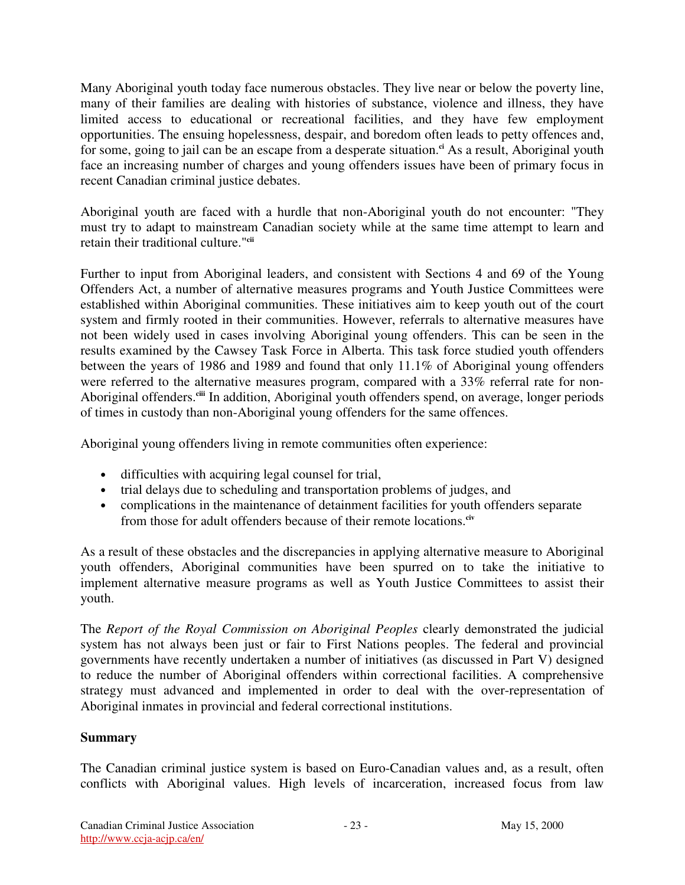Many Aboriginal youth today face numerous obstacles. They live near or below the poverty line, many of their families are dealing with histories of substance, violence and illness, they have limited access to educational or recreational facilities, and they have few employment opportunities. The ensuing hopelessness, despair, and boredom often leads to petty offences and, for some, going to jail can be an escape from a desperate situation. **ci** As a result, Aboriginal youth face an increasing number of charges and young offenders issues have been of primary focus in recent Canadian criminal justice debates.

Aboriginal youth are faced with a hurdle that non-Aboriginal youth do not encounter: "They must try to adapt to mainstream Canadian society while at the same time attempt to learn and retain their traditional culture." **cii**

Further to input from Aboriginal leaders, and consistent with Sections 4 and 69 of the Young Offenders Act, a number of alternative measures programs and Youth Justice Committees were established within Aboriginal communities. These initiatives aim to keep youth out of the court system and firmly rooted in their communities. However, referrals to alternative measures have not been widely used in cases involving Aboriginal young offenders. This can be seen in the results examined by the Cawsey Task Force in Alberta. This task force studied youth offenders between the years of 1986 and 1989 and found that only 11.1% of Aboriginal young offenders were referred to the alternative measures program, compared with a 33% referral rate for non-Aboriginal offenders.<sup>cii</sup> In addition, Aboriginal youth offenders spend, on average, longer periods of times in custody than non-Aboriginal young offenders for the same offences.

Aboriginal young offenders living in remote communities often experience:

- difficulties with acquiring legal counsel for trial,
- trial delays due to scheduling and transportation problems of judges, and
- complications in the maintenance of detainment facilities for youth offenders separate from those for adult offenders because of their remote locations. **civ**

As a result of these obstacles and the discrepancies in applying alternative measure to Aboriginal youth offenders, Aboriginal communities have been spurred on to take the initiative to implement alternative measure programs as well as Youth Justice Committees to assist their youth.

The *Report of the Royal Commission on Aboriginal Peoples* clearly demonstrated the judicial system has not always been just or fair to First Nations peoples. The federal and provincial governments have recently undertaken a number of initiatives (as discussed in Part V) designed to reduce the number of Aboriginal offenders within correctional facilities. A comprehensive strategy must advanced and implemented in order to deal with the over-representation of Aboriginal inmates in provincial and federal correctional institutions.

#### **Summary**

The Canadian criminal justice system is based on Euro-Canadian values and, as a result, often conflicts with Aboriginal values. High levels of incarceration, increased focus from law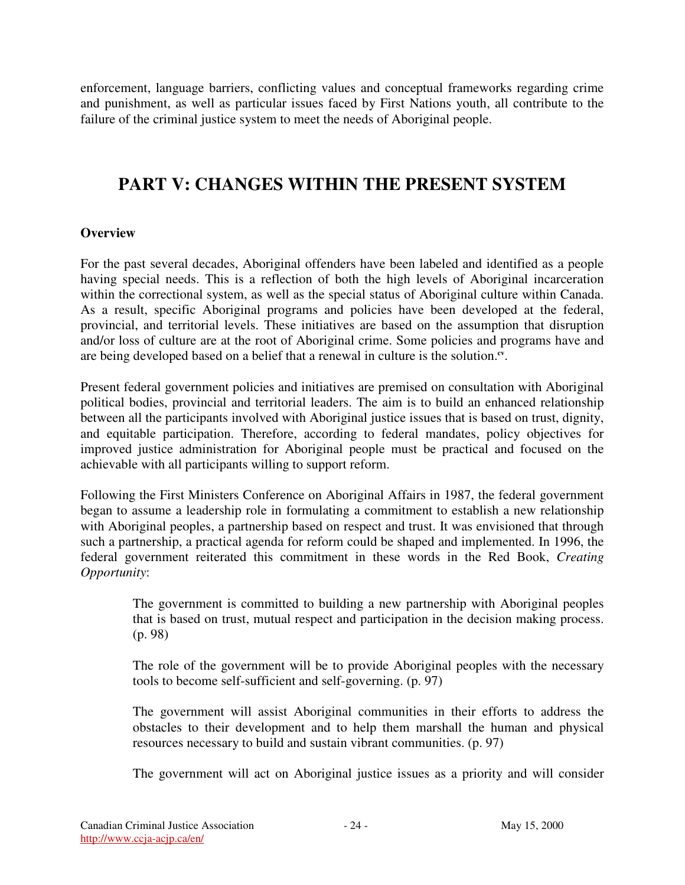enforcement, language barriers, conflicting values and conceptual frameworks regarding crime and punishment, as well as particular issues faced by First Nations youth, all contribute to the failure of the criminal justice system to meet the needs of Aboriginal people.

# **PART V: CHANGES WITHIN THE PRESENT SYSTEM**

# **Overview**

For the past several decades, Aboriginal offenders have been labeled and identified as a people having special needs. This is a reflection of both the high levels of Aboriginal incarceration within the correctional system, as well as the special status of Aboriginal culture within Canada. As a result, specific Aboriginal programs and policies have been developed at the federal, provincial, and territorial levels. These initiatives are based on the assumption that disruption and/or loss of culture are at the root of Aboriginal crime. Some policies and programs have and are being developed based on a belief that a renewal in culture is the solution.<sup>cv</sup>.

Present federal government policies and initiatives are premised on consultation with Aboriginal political bodies, provincial and territorial leaders. The aim is to build an enhanced relationship between all the participants involved with Aboriginal justice issues that is based on trust, dignity, and equitable participation. Therefore, according to federal mandates, policy objectives for improved justice administration for Aboriginal people must be practical and focused on the achievable with all participants willing to support reform.

Following the First Ministers Conference on Aboriginal Affairs in 1987, the federal government began to assume a leadership role in formulating a commitment to establish a new relationship with Aboriginal peoples, a partnership based on respect and trust. It was envisioned that through such a partnership, a practical agenda for reform could be shaped and implemented. In 1996, the federal government reiterated this commitment in these words in the Red Book, *Creating Opportunity*:

The government is committed to building a new partnership with Aboriginal peoples that is based on trust, mutual respect and participation in the decision making process. (p. 98)

The role of the government will be to provide Aboriginal peoples with the necessary tools to become self-sufficient and self-governing. (p. 97)

The government will assist Aboriginal communities in their efforts to address the obstacles to their development and to help them marshall the human and physical resources necessary to build and sustain vibrant communities. (p. 97)

The government will act on Aboriginal justice issues as a priority and will consider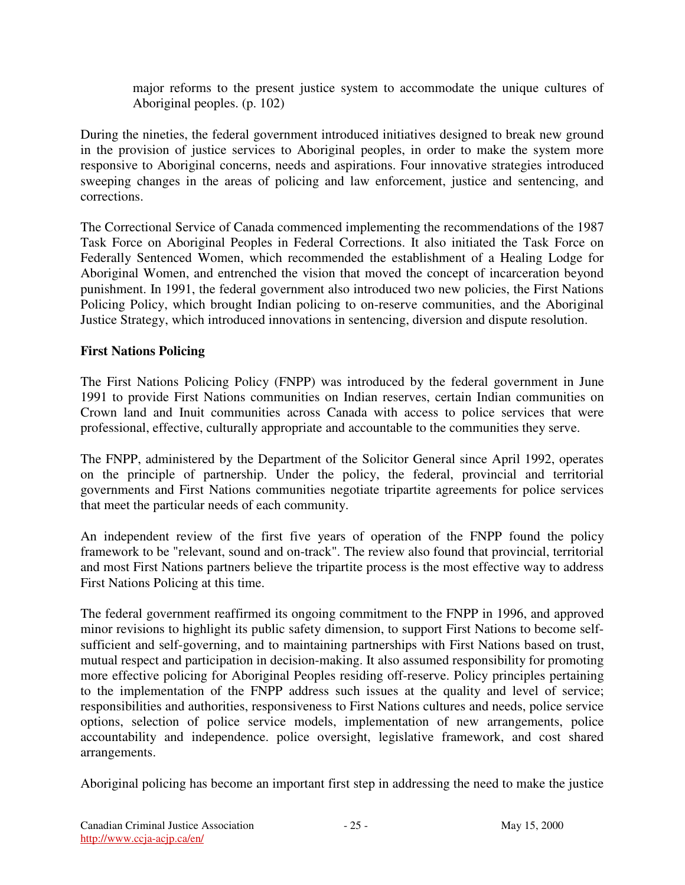major reforms to the present justice system to accommodate the unique cultures of Aboriginal peoples. (p. 102)

During the nineties, the federal government introduced initiatives designed to break new ground in the provision of justice services to Aboriginal peoples, in order to make the system more responsive to Aboriginal concerns, needs and aspirations. Four innovative strategies introduced sweeping changes in the areas of policing and law enforcement, justice and sentencing, and corrections.

The Correctional Service of Canada commenced implementing the recommendations of the 1987 Task Force on Aboriginal Peoples in Federal Corrections. It also initiated the Task Force on Federally Sentenced Women, which recommended the establishment of a Healing Lodge for Aboriginal Women, and entrenched the vision that moved the concept of incarceration beyond punishment. In 1991, the federal government also introduced two new policies, the First Nations Policing Policy, which brought Indian policing to on-reserve communities, and the Aboriginal Justice Strategy, which introduced innovations in sentencing, diversion and dispute resolution.

# **First Nations Policing**

The First Nations Policing Policy (FNPP) was introduced by the federal government in June 1991 to provide First Nations communities on Indian reserves, certain Indian communities on Crown land and Inuit communities across Canada with access to police services that were professional, effective, culturally appropriate and accountable to the communities they serve.

The FNPP, administered by the Department of the Solicitor General since April 1992, operates on the principle of partnership. Under the policy, the federal, provincial and territorial governments and First Nations communities negotiate tripartite agreements for police services that meet the particular needs of each community.

An independent review of the first five years of operation of the FNPP found the policy framework to be "relevant, sound and on-track". The review also found that provincial, territorial and most First Nations partners believe the tripartite process is the most effective way to address First Nations Policing at this time.

The federal government reaffirmed its ongoing commitment to the FNPP in 1996, and approved minor revisions to highlight its public safety dimension, to support First Nations to become selfsufficient and self-governing, and to maintaining partnerships with First Nations based on trust, mutual respect and participation in decision-making. It also assumed responsibility for promoting more effective policing for Aboriginal Peoples residing off-reserve. Policy principles pertaining to the implementation of the FNPP address such issues at the quality and level of service; responsibilities and authorities, responsiveness to First Nations cultures and needs, police service options, selection of police service models, implementation of new arrangements, police accountability and independence. police oversight, legislative framework, and cost shared arrangements.

Aboriginal policing has become an important first step in addressing the need to make the justice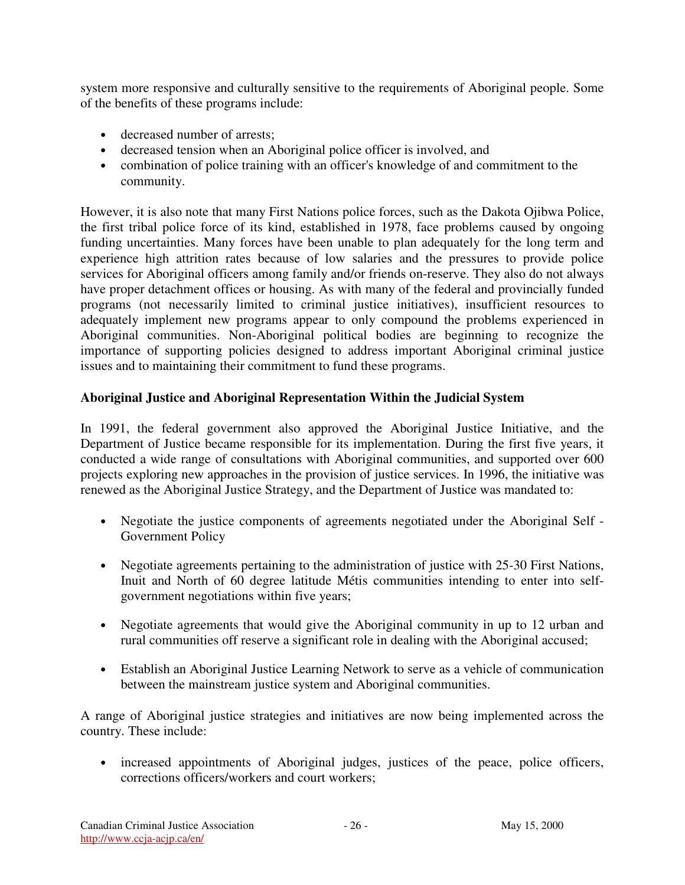system more responsive and culturally sensitive to the requirements of Aboriginal people. Some of the benefits of these programs include:

- decreased number of arrests;
- decreased tension when an Aboriginal police officer is involved, and
- combination of police training with an officer's knowledge of and commitment to the community.

However, it is also note that many First Nations police forces, such as the Dakota Ojibwa Police, the first tribal police force of its kind, established in 1978, face problems caused by ongoing funding uncertainties. Many forces have been unable to plan adequately for the long term and experience high attrition rates because of low salaries and the pressures to provide police services for Aboriginal officers among family and/or friends on-reserve. They also do not always have proper detachment offices or housing. As with many of the federal and provincially funded programs (not necessarily limited to criminal justice initiatives), insufficient resources to adequately implement new programs appear to only compound the problems experienced in Aboriginal communities. Non-Aboriginal political bodies are beginning to recognize the importance of supporting policies designed to address important Aboriginal criminal justice issues and to maintaining their commitment to fund these programs.

# **Aboriginal Justice and Aboriginal Representation Within the Judicial System**

In 1991, the federal government also approved the Aboriginal Justice Initiative, and the Department of Justice became responsible for its implementation. During the first five years, it conducted a wide range of consultations with Aboriginal communities, and supported over 600 projects exploring new approaches in the provision of justice services. In 1996, the initiative was renewed as the Aboriginal Justice Strategy, and the Department of Justice was mandated to:

- Negotiate the justice components of agreements negotiated under the Aboriginal Self Government Policy
- Negotiate agreements pertaining to the administration of justice with 25-30 First Nations, Inuit and North of 60 degree latitude Métis communities intending to enter into selfgovernment negotiations within five years;
- Negotiate agreements that would give the Aboriginal community in up to 12 urban and rural communities off reserve a significant role in dealing with the Aboriginal accused;
- Establish an Aboriginal Justice Learning Network to serve as a vehicle of communication between the mainstream justice system and Aboriginal communities.

A range of Aboriginal justice strategies and initiatives are now being implemented across the country. These include:

• increased appointments of Aboriginal judges, justices of the peace, police officers, corrections officers/workers and court workers;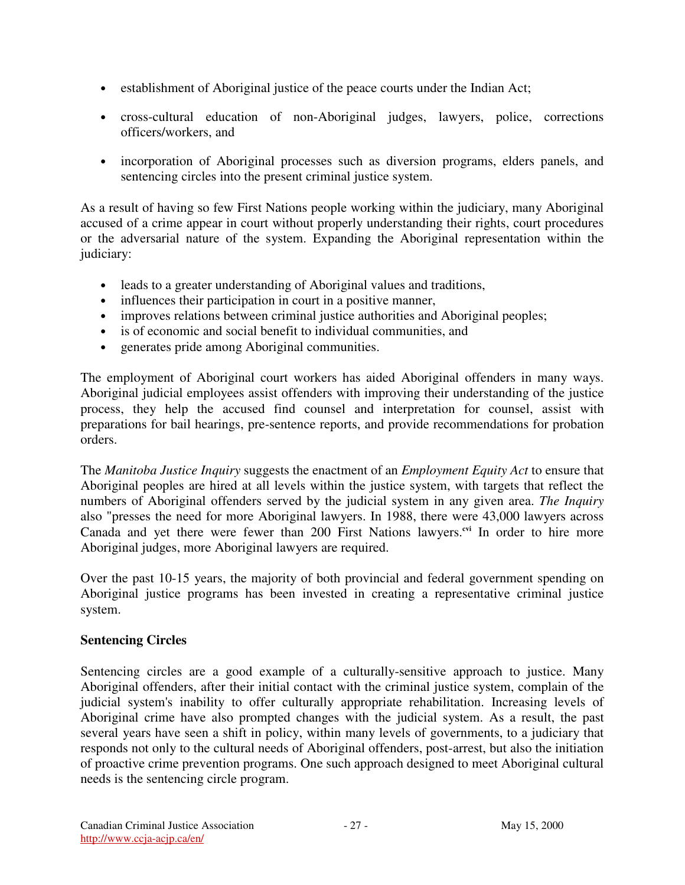- establishment of Aboriginal justice of the peace courts under the Indian Act;
- cross-cultural education of non-Aboriginal judges, lawyers, police, corrections officers/workers, and
- incorporation of Aboriginal processes such as diversion programs, elders panels, and sentencing circles into the present criminal justice system.

As a result of having so few First Nations people working within the judiciary, many Aboriginal accused of a crime appear in court without properly understanding their rights, court procedures or the adversarial nature of the system. Expanding the Aboriginal representation within the judiciary:

- leads to a greater understanding of Aboriginal values and traditions,
- influences their participation in court in a positive manner,
- improves relations between criminal justice authorities and Aboriginal peoples;
- is of economic and social benefit to individual communities, and
- generates pride among Aboriginal communities.

The employment of Aboriginal court workers has aided Aboriginal offenders in many ways. Aboriginal judicial employees assist offenders with improving their understanding of the justice process, they help the accused find counsel and interpretation for counsel, assist with preparations for bail hearings, pre-sentence reports, and provide recommendations for probation orders.

The *Manitoba Justice Inquiry* suggests the enactment of an *Employment Equity Act* to ensure that Aboriginal peoples are hired at all levels within the justice system, with targets that reflect the numbers of Aboriginal offenders served by the judicial system in any given area. *The Inquiry* also "presses the need for more Aboriginal lawyers. In 1988, there were 43,000 lawyers across Canada and yet there were fewer than 200 First Nations lawyers.<sup>cvi</sup> In order to hire more Aboriginal judges, more Aboriginal lawyers are required.

Over the past 10-15 years, the majority of both provincial and federal government spending on Aboriginal justice programs has been invested in creating a representative criminal justice system.

#### **Sentencing Circles**

Sentencing circles are a good example of a culturally-sensitive approach to justice. Many Aboriginal offenders, after their initial contact with the criminal justice system, complain of the judicial system's inability to offer culturally appropriate rehabilitation. Increasing levels of Aboriginal crime have also prompted changes with the judicial system. As a result, the past several years have seen a shift in policy, within many levels of governments, to a judiciary that responds not only to the cultural needs of Aboriginal offenders, post-arrest, but also the initiation of proactive crime prevention programs. One such approach designed to meet Aboriginal cultural needs is the sentencing circle program.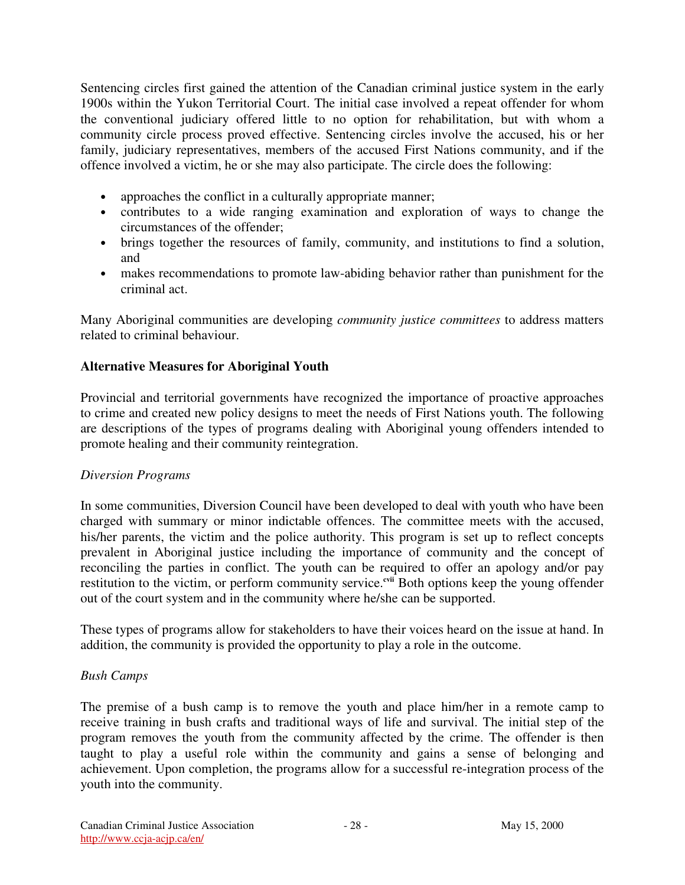Sentencing circles first gained the attention of the Canadian criminal justice system in the early 1900s within the Yukon Territorial Court. The initial case involved a repeat offender for whom the conventional judiciary offered little to no option for rehabilitation, but with whom a community circle process proved effective. Sentencing circles involve the accused, his or her family, judiciary representatives, members of the accused First Nations community, and if the offence involved a victim, he or she may also participate. The circle does the following:

- approaches the conflict in a culturally appropriate manner;
- contributes to a wide ranging examination and exploration of ways to change the circumstances of the offender;
- brings together the resources of family, community, and institutions to find a solution, and
- makes recommendations to promote law-abiding behavior rather than punishment for the criminal act.

Many Aboriginal communities are developing *community justice committees* to address matters related to criminal behaviour.

## **Alternative Measures for Aboriginal Youth**

Provincial and territorial governments have recognized the importance of proactive approaches to crime and created new policy designs to meet the needs of First Nations youth. The following are descriptions of the types of programs dealing with Aboriginal young offenders intended to promote healing and their community reintegration.

#### *Diversion Programs*

In some communities, Diversion Council have been developed to deal with youth who have been charged with summary or minor indictable offences. The committee meets with the accused, his/her parents, the victim and the police authority. This program is set up to reflect concepts prevalent in Aboriginal justice including the importance of community and the concept of reconciling the parties in conflict. The youth can be required to offer an apology and/or pay restitution to the victim, or perform community service.<sup>cvii</sup> Both options keep the young offender out of the court system and in the community where he/she can be supported.

These types of programs allow for stakeholders to have their voices heard on the issue at hand. In addition, the community is provided the opportunity to play a role in the outcome.

#### *Bush Camps*

The premise of a bush camp is to remove the youth and place him/her in a remote camp to receive training in bush crafts and traditional ways of life and survival. The initial step of the program removes the youth from the community affected by the crime. The offender is then taught to play a useful role within the community and gains a sense of belonging and achievement. Upon completion, the programs allow for a successful re-integration process of the youth into the community.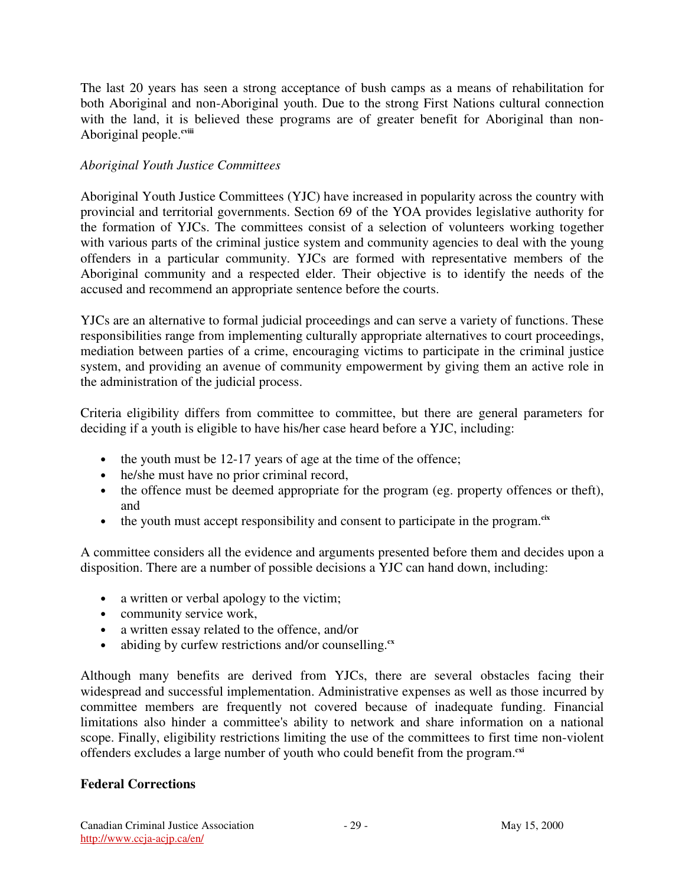The last 20 years has seen a strong acceptance of bush camps as a means of rehabilitation for both Aboriginal and non-Aboriginal youth. Due to the strong First Nations cultural connection with the land, it is believed these programs are of greater benefit for Aboriginal than non-Aboriginal people.<sup>cviii</sup>

#### *Aboriginal Youth Justice Committees*

Aboriginal Youth Justice Committees (YJC) have increased in popularity across the country with provincial and territorial governments. Section 69 of the YOA provides legislative authority for the formation of YJCs. The committees consist of a selection of volunteers working together with various parts of the criminal justice system and community agencies to deal with the young offenders in a particular community. YJCs are formed with representative members of the Aboriginal community and a respected elder. Their objective is to identify the needs of the accused and recommend an appropriate sentence before the courts.

YJCs are an alternative to formal judicial proceedings and can serve a variety of functions. These responsibilities range from implementing culturally appropriate alternatives to court proceedings, mediation between parties of a crime, encouraging victims to participate in the criminal justice system, and providing an avenue of community empowerment by giving them an active role in the administration of the judicial process.

Criteria eligibility differs from committee to committee, but there are general parameters for deciding if a youth is eligible to have his/her case heard before a YJC, including:

- the youth must be 12-17 years of age at the time of the offence;
- he/she must have no prior criminal record,
- the offence must be deemed appropriate for the program (eg. property offences or theft), and
- the youth must accept responsibility and consent to participate in the program.<sup>cix</sup>

A committee considers all the evidence and arguments presented before them and decides upon a disposition. There are a number of possible decisions a YJC can hand down, including:

- a written or verbal apology to the victim;
- community service work,
- a written essay related to the offence, and/or
- abiding by curfew restrictions and/or counselling.<sup>cx</sup>

Although many benefits are derived from YJCs, there are several obstacles facing their widespread and successful implementation. Administrative expenses as well as those incurred by committee members are frequently not covered because of inadequate funding. Financial limitations also hinder a committee's ability to network and share information on a national scope. Finally, eligibility restrictions limiting the use of the committees to first time non-violent offenders excludes a large number of youth who could benefit from the program. **cxi**

#### **Federal Corrections**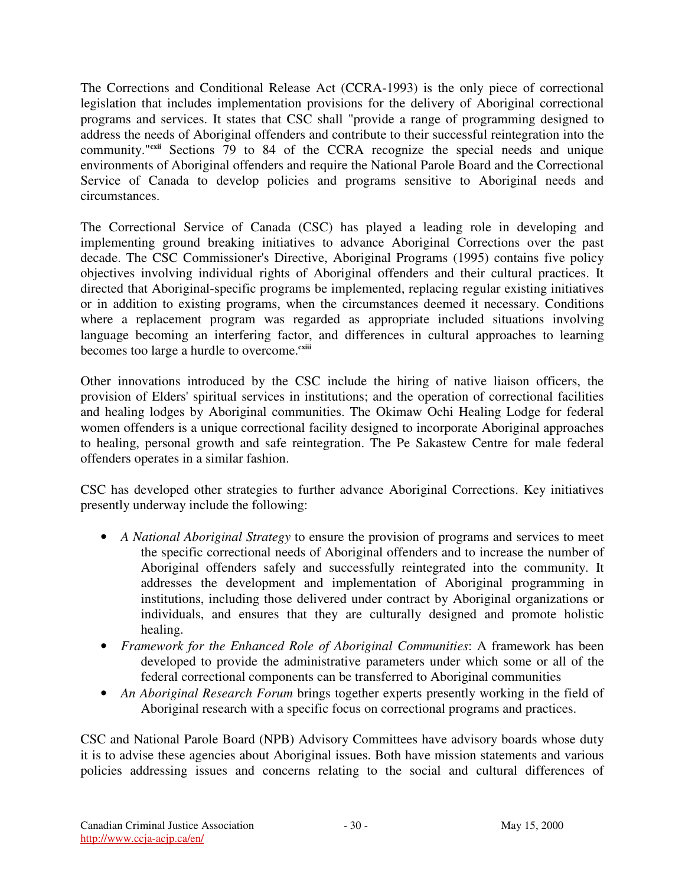The Corrections and Conditional Release Act (CCRA-1993) is the only piece of correctional legislation that includes implementation provisions for the delivery of Aboriginal correctional programs and services. It states that CSC shall "provide a range of programming designed to address the needs of Aboriginal offenders and contribute to their successful reintegration into the community."<sup>cxii</sup> Sections 79 to 84 of the CCRA recognize the special needs and unique environments of Aboriginal offenders and require the National Parole Board and the Correctional Service of Canada to develop policies and programs sensitive to Aboriginal needs and circumstances.

The Correctional Service of Canada (CSC) has played a leading role in developing and implementing ground breaking initiatives to advance Aboriginal Corrections over the past decade. The CSC Commissioner's Directive, Aboriginal Programs (1995) contains five policy objectives involving individual rights of Aboriginal offenders and their cultural practices. It directed that Aboriginal-specific programs be implemented, replacing regular existing initiatives or in addition to existing programs, when the circumstances deemed it necessary. Conditions where a replacement program was regarded as appropriate included situations involving language becoming an interfering factor, and differences in cultural approaches to learning becomes too large a hurdle to overcome. **cxiii**

Other innovations introduced by the CSC include the hiring of native liaison officers, the provision of Elders' spiritual services in institutions; and the operation of correctional facilities and healing lodges by Aboriginal communities. The Okimaw Ochi Healing Lodge for federal women offenders is a unique correctional facility designed to incorporate Aboriginal approaches to healing, personal growth and safe reintegration. The Pe Sakastew Centre for male federal offenders operates in a similar fashion.

CSC has developed other strategies to further advance Aboriginal Corrections. Key initiatives presently underway include the following:

- *A National Aboriginal Strategy* to ensure the provision of programs and services to meet the specific correctional needs of Aboriginal offenders and to increase the number of Aboriginal offenders safely and successfully reintegrated into the community. It addresses the development and implementation of Aboriginal programming in institutions, including those delivered under contract by Aboriginal organizations or individuals, and ensures that they are culturally designed and promote holistic healing.
- *Framework for the Enhanced Role of Aboriginal Communities*: A framework has been developed to provide the administrative parameters under which some or all of the federal correctional components can be transferred to Aboriginal communities
- *An Aboriginal Research Forum* brings together experts presently working in the field of Aboriginal research with a specific focus on correctional programs and practices.

CSC and National Parole Board (NPB) Advisory Committees have advisory boards whose duty it is to advise these agencies about Aboriginal issues. Both have mission statements and various policies addressing issues and concerns relating to the social and cultural differences of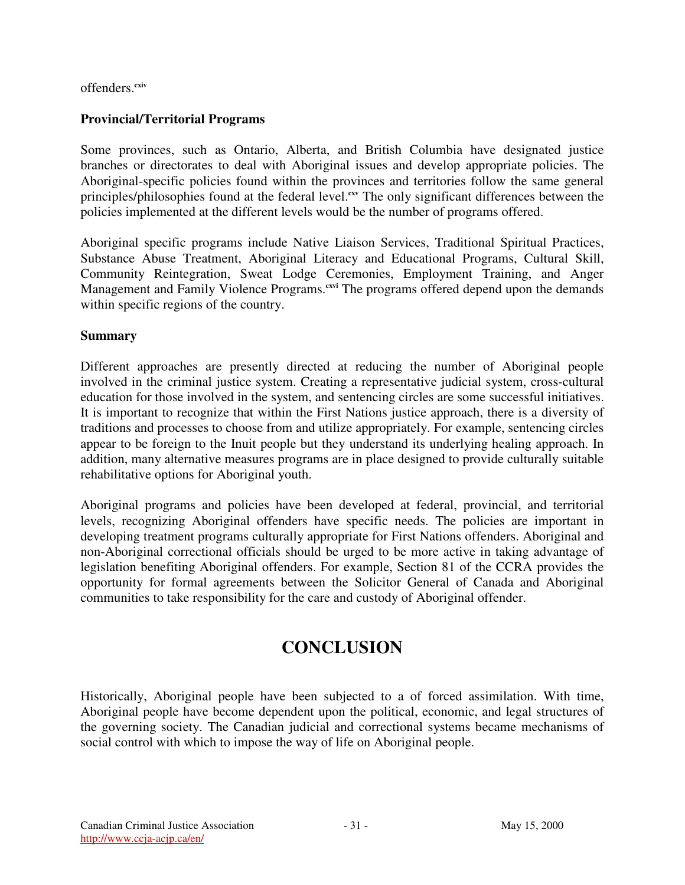offenders. **cxiv**

## **Provincial/Territorial Programs**

Some provinces, such as Ontario, Alberta, and British Columbia have designated justice branches or directorates to deal with Aboriginal issues and develop appropriate policies. The Aboriginal-specific policies found within the provinces and territories follow the same general principles/philosophies found at the federal level.<sup>cxv</sup> The only significant differences between the policies implemented at the different levels would be the number of programs offered.

Aboriginal specific programs include Native Liaison Services, Traditional Spiritual Practices, Substance Abuse Treatment, Aboriginal Literacy and Educational Programs, Cultural Skill, Community Reintegration, Sweat Lodge Ceremonies, Employment Training, and Anger Management and Family Violence Programs.<sup>cxvi</sup> The programs offered depend upon the demands within specific regions of the country.

#### **Summary**

Different approaches are presently directed at reducing the number of Aboriginal people involved in the criminal justice system. Creating a representative judicial system, cross-cultural education for those involved in the system, and sentencing circles are some successful initiatives. It is important to recognize that within the First Nations justice approach, there is a diversity of traditions and processes to choose from and utilize appropriately. For example, sentencing circles appear to be foreign to the Inuit people but they understand its underlying healing approach. In addition, many alternative measures programs are in place designed to provide culturally suitable rehabilitative options for Aboriginal youth.

Aboriginal programs and policies have been developed at federal, provincial, and territorial levels, recognizing Aboriginal offenders have specific needs. The policies are important in developing treatment programs culturally appropriate for First Nations offenders. Aboriginal and non-Aboriginal correctional officials should be urged to be more active in taking advantage of legislation benefiting Aboriginal offenders. For example, Section 81 of the CCRA provides the opportunity for formal agreements between the Solicitor General of Canada and Aboriginal communities to take responsibility for the care and custody of Aboriginal offender.

# **CONCLUSION**

Historically, Aboriginal people have been subjected to a of forced assimilation. With time, Aboriginal people have become dependent upon the political, economic, and legal structures of the governing society. The Canadian judicial and correctional systems became mechanisms of social control with which to impose the way of life on Aboriginal people.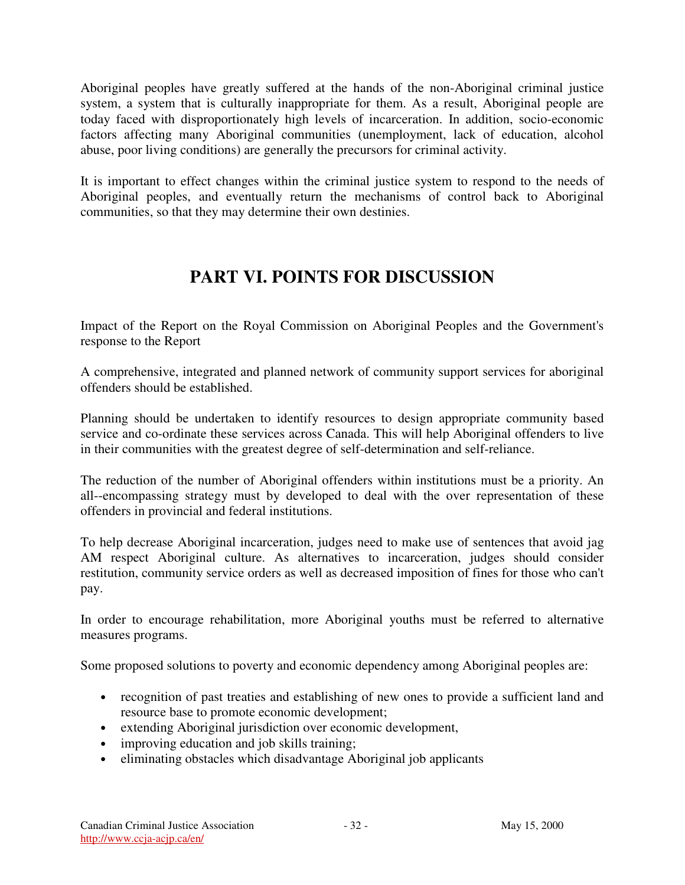Aboriginal peoples have greatly suffered at the hands of the non-Aboriginal criminal justice system, a system that is culturally inappropriate for them. As a result, Aboriginal people are today faced with disproportionately high levels of incarceration. In addition, socio-economic factors affecting many Aboriginal communities (unemployment, lack of education, alcohol abuse, poor living conditions) are generally the precursors for criminal activity.

It is important to effect changes within the criminal justice system to respond to the needs of Aboriginal peoples, and eventually return the mechanisms of control back to Aboriginal communities, so that they may determine their own destinies.

# **PART VI. POINTS FOR DISCUSSION**

Impact of the Report on the Royal Commission on Aboriginal Peoples and the Government's response to the Report

A comprehensive, integrated and planned network of community support services for aboriginal offenders should be established.

Planning should be undertaken to identify resources to design appropriate community based service and co-ordinate these services across Canada. This will help Aboriginal offenders to live in their communities with the greatest degree of self-determination and self-reliance.

The reduction of the number of Aboriginal offenders within institutions must be a priority. An all--encompassing strategy must by developed to deal with the over representation of these offenders in provincial and federal institutions.

To help decrease Aboriginal incarceration, judges need to make use of sentences that avoid jag AM respect Aboriginal culture. As alternatives to incarceration, judges should consider restitution, community service orders as well as decreased imposition of fines for those who can't pay.

In order to encourage rehabilitation, more Aboriginal youths must be referred to alternative measures programs.

Some proposed solutions to poverty and economic dependency among Aboriginal peoples are:

- recognition of past treaties and establishing of new ones to provide a sufficient land and resource base to promote economic development;
- extending Aboriginal jurisdiction over economic development,
- improving education and job skills training;
- eliminating obstacles which disadvantage Aboriginal job applicants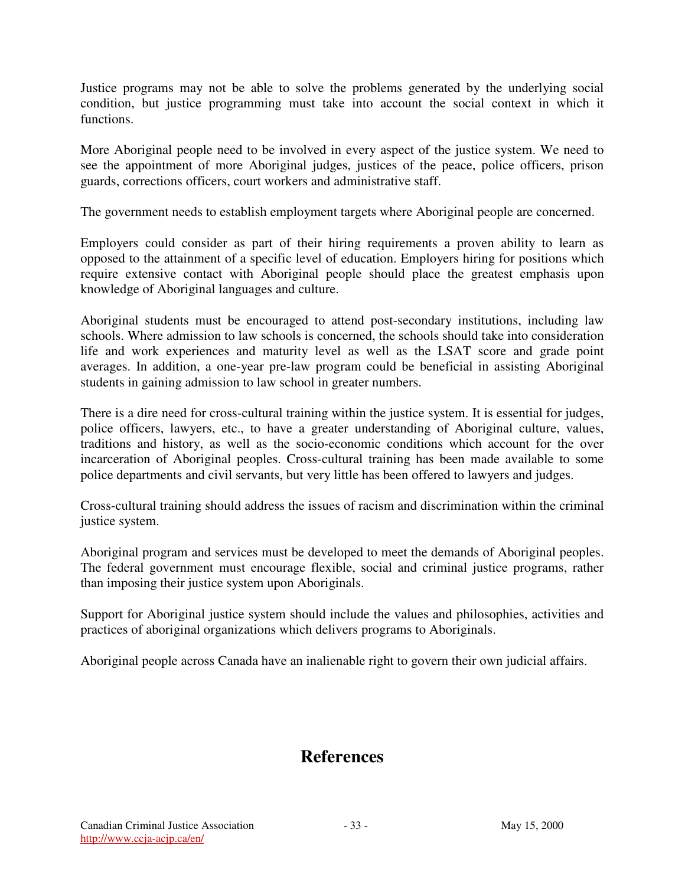Justice programs may not be able to solve the problems generated by the underlying social condition, but justice programming must take into account the social context in which it functions.

More Aboriginal people need to be involved in every aspect of the justice system. We need to see the appointment of more Aboriginal judges, justices of the peace, police officers, prison guards, corrections officers, court workers and administrative staff.

The government needs to establish employment targets where Aboriginal people are concerned.

Employers could consider as part of their hiring requirements a proven ability to learn as opposed to the attainment of a specific level of education. Employers hiring for positions which require extensive contact with Aboriginal people should place the greatest emphasis upon knowledge of Aboriginal languages and culture.

Aboriginal students must be encouraged to attend post-secondary institutions, including law schools. Where admission to law schools is concerned, the schools should take into consideration life and work experiences and maturity level as well as the LSAT score and grade point averages. In addition, a one-year pre-law program could be beneficial in assisting Aboriginal students in gaining admission to law school in greater numbers.

There is a dire need for cross-cultural training within the justice system. It is essential for judges, police officers, lawyers, etc., to have a greater understanding of Aboriginal culture, values, traditions and history, as well as the socio-economic conditions which account for the over incarceration of Aboriginal peoples. Cross-cultural training has been made available to some police departments and civil servants, but very little has been offered to lawyers and judges.

Cross-cultural training should address the issues of racism and discrimination within the criminal justice system.

Aboriginal program and services must be developed to meet the demands of Aboriginal peoples. The federal government must encourage flexible, social and criminal justice programs, rather than imposing their justice system upon Aboriginals.

Support for Aboriginal justice system should include the values and philosophies, activities and practices of aboriginal organizations which delivers programs to Aboriginals.

Aboriginal people across Canada have an inalienable right to govern their own judicial affairs.

# **References**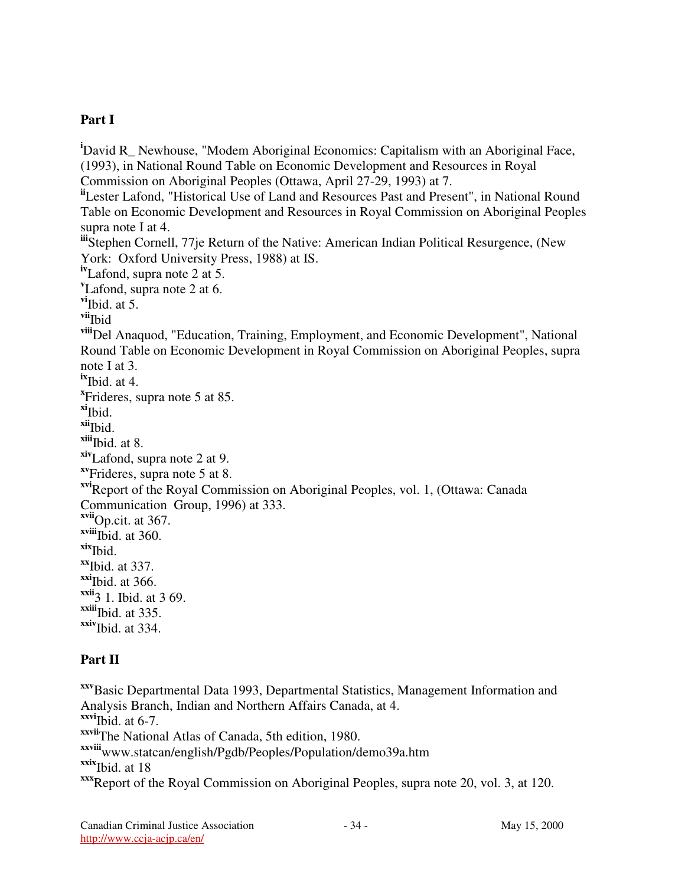## **Part I**

<sup>i</sup>David R Newhouse, "Modem Aboriginal Economics: Capitalism with an Aboriginal Face, (1993), in National Round Table on Economic Development and Resources in Royal Commission on Aboriginal Peoples (Ottawa, April 27-29, 1993) at 7. **ii** Lester Lafond, "Historical Use of Land and Resources Past and Present", in National Round Table on Economic Development and Resources in Royal Commission on Aboriginal Peoples supra note I at 4. **iii** Stephen Cornell, 77je Return of the Native: American Indian Political Resurgence, (New York: Oxford University Press, 1988) at IS. **iv** Lafond, supra note 2 at 5. **v** Lafond, supra note 2 at 6. **vi** Ibid. at 5. **vii** Ibid **viii**Del Anaquod, "Education, Training, Employment, and Economic Development", National Round Table on Economic Development in Royal Commission on Aboriginal Peoples, supra note I at 3. **ix** Ibid. at 4. **x** Frideres, supra note 5 at 85. **xi** Ibid. **xii** Ibid. **xiii** Ibid. at 8. **xiv** Lafond, supra note 2 at 9. **xv** Frideres, supra note 5 at 8. **xvi**Report of the Royal Commission on Aboriginal Peoples, vol. 1, (Ottawa: Canada Communication Group, 1996) at 333. **xvii**Op.cit. at 367. **xviii** Ibid. at 360. **xix** Ibid. **xx** Ibid. at 337. **xxi** Ibid. at 366. **xxii** 3 1. Ibid. at 3 69. **xxiii** Ibid. at 335. **xxiv** Ibid. at 334.

#### **Part II**

**xxv**Basic Departmental Data 1993, Departmental Statistics, Management Information and Analysis Branch, Indian and Northern Affairs Canada, at 4. **xxvi** Ibid. at 6-7. **xxvii** The National Atlas of Canada, 5th edition, 1980. **xxviii** www.statcan/english/Pgdb/Peoples/Population/demo39a.htm **xxix** Ibid. at 18 **xxx**Report of the Royal Commission on Aboriginal Peoples, supra note 20, vol. 3, at 120.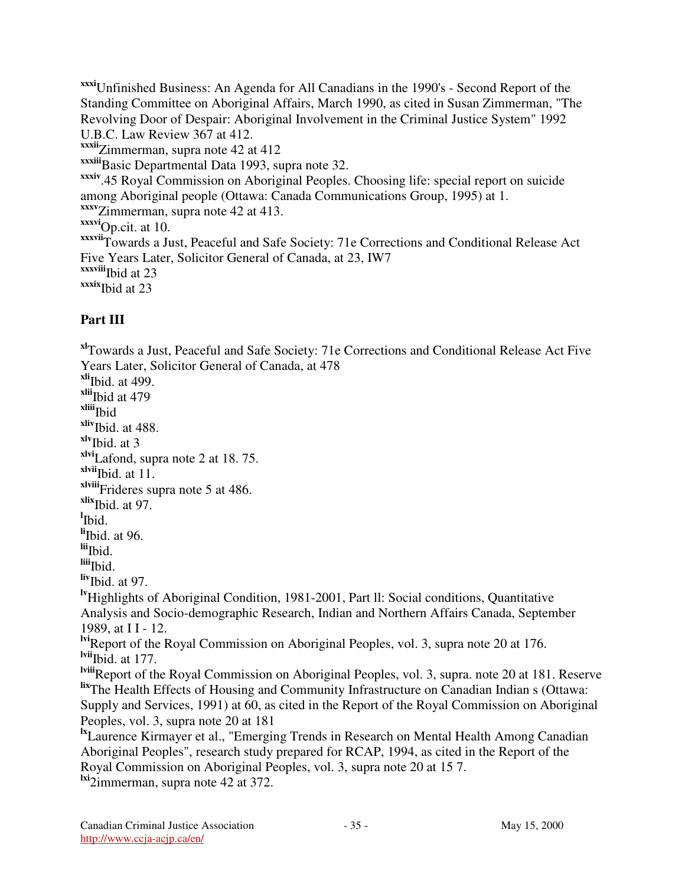**xxxi**Unfinished Business: An Agenda for All Canadians in the 1990's - Second Report of the Standing Committee on Aboriginal Affairs, March 1990, as cited in Susan Zimmerman, "The Revolving Door of Despair: Aboriginal Involvement in the Criminal Justice System" 1992 U.B.C. Law Review 367 at 412. **xxxii** Zimmerman, supra note 42 at 412 **xxxiii**Basic Departmental Data 1993, supra note 32. **xxxiv** .45 Royal Commission on Aboriginal Peoples. Choosing life: special report on suicide among Aboriginal people (Ottawa: Canada Communications Group, 1995) at 1. **xxxv** Zimmerman, supra note 42 at 413. **xxxvi**Op.cit. at 10. **xxxvii** Towards a Just, Peaceful and Safe Society: 71e Corrections and Conditional Release Act Five Years Later, Solicitor General of Canada, at 23, IW7 **xxxviii** Ibid at 23 **xxxix** Ibid at 23

# **Part III**

**xl** Towards a Just, Peaceful and Safe Society: 71e Corrections and Conditional Release Act Five Years Later, Solicitor General of Canada, at 478 **xli** Ibid. at 499. **xlii** Ibid at 479 **xliii** Ibid **xliv** Ibid. at 488. **xlv** Ibid. at 3 **xlvi** Lafond, supra note 2 at 18. 75. **xlvii** Ibid. at 11. **xlviii** Frideres supra note 5 at 486. **xlix** Ibid. at 97. **l** Ibid. **li** Ibid. at 96. **lii** Ibid. **liii** Ibid. **liv** Ibid. at 97. **lv**Highlights of Aboriginal Condition, 1981-2001, Part ll: Social conditions, Quantitative Analysis and Socio-demographic Research, Indian and Northern Affairs Canada, September 1989, at I I - 12. **lvi**Report of the Royal Commission on Aboriginal Peoples, vol. 3, supra note 20 at 176. **lvii** Ibid. at 177. **lviii**Report of the Royal Commission on Aboriginal Peoples, vol. 3, supra. note 20 at 181. Reserve **lix** The Health Effects of Housing and Community Infrastructure on Canadian Indian s (Ottawa: Supply and Services, 1991) at 60, as cited in the Report of the Royal Commission on Aboriginal Peoples, vol. 3, supra note 20 at 181 <sup>Ix</sup>Laurence Kirmayer et al., "Emerging Trends in Research on Mental Health Among Canadian Aboriginal Peoples", research study prepared for RCAP, 1994, as cited in the Report of the Royal Commission on Aboriginal Peoples, vol. 3, supra note 20 at 15 7.

**lxi** 2immerman, supra note 42 at 372.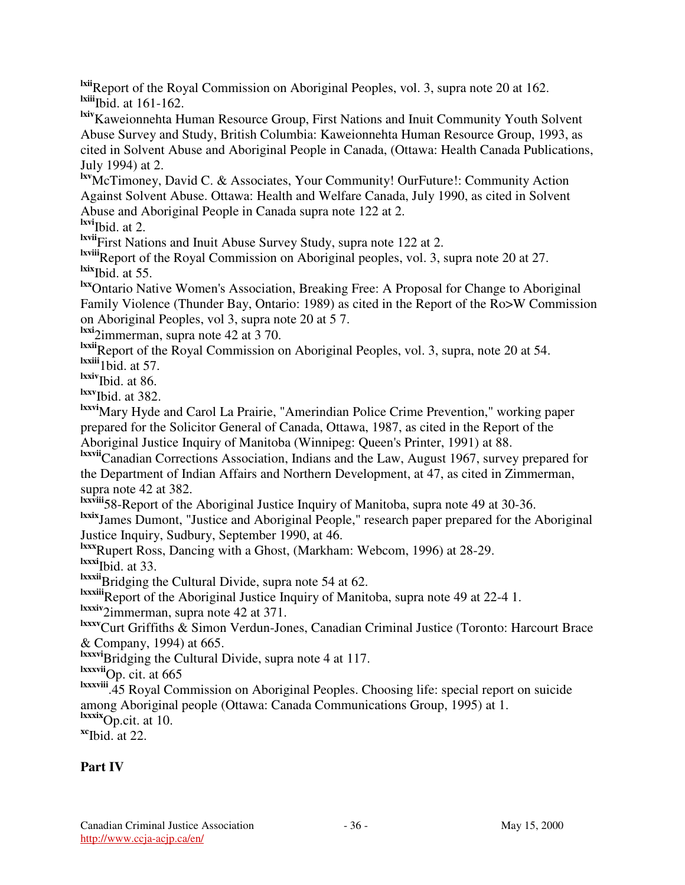**lxii**Report of the Royal Commission on Aboriginal Peoples, vol. 3, supra note 20 at 162. **lxiii** Ibid. at 161-162.

**lxiv**Kaweionnehta Human Resource Group, First Nations and Inuit Community Youth Solvent Abuse Survey and Study, British Columbia: Kaweionnehta Human Resource Group, 1993, as cited in Solvent Abuse and Aboriginal People in Canada, (Ottawa: Health Canada Publications, July 1994) at 2.

**lxv**McTimoney, David C. & Associates, Your Community! OurFuture!: Community Action Against Solvent Abuse. Ottawa: Health and Welfare Canada, July 1990, as cited in Solvent Abuse and Aboriginal People in Canada supra note 122 at 2.

**lxvi** Ibid. at 2.

**lxvii** First Nations and Inuit Abuse Survey Study, supra note 122 at 2.

**lxviii**Report of the Royal Commission on Aboriginal peoples, vol. 3, supra note 20 at 27. **lxix** Ibid. at 55.

**lxx**Ontario Native Women's Association, Breaking Free: A Proposal for Change to Aboriginal Family Violence (Thunder Bay, Ontario: 1989) as cited in the Report of the Ro>W Commission on Aboriginal Peoples, vol 3, supra note 20 at 5 7.

**lxxi** 2immerman, supra note 42 at 3 70.

**lxxii**Report of the Royal Commission on Aboriginal Peoples, vol. 3, supra, note 20 at 54. **lxxiii** 1bid. at 57.

**lxxiv** Ibid. at 86.

**lxxv** Ibid. at 382.

**lxxvi**Mary Hyde and Carol La Prairie, "Amerindian Police Crime Prevention," working paper prepared for the Solicitor General of Canada, Ottawa, 1987, as cited in the Report of the Aboriginal Justice Inquiry of Manitoba (Winnipeg: Queen's Printer, 1991) at 88.

**lxxvii**Canadian Corrections Association, Indians and the Law, August 1967, survey prepared for the Department of Indian Affairs and Northern Development, at 47, as cited in Zimmerman, supra note 42 at 382.

<sup>Ixxviii</sup> 58-Report of the Aboriginal Justice Inquiry of Manitoba, supra note 49 at 30-36.

**lxxix** James Dumont, "Justice and Aboriginal People," research paper prepared for the Aboriginal Justice Inquiry, Sudbury, September 1990, at 46.

**lxxx** Rupert Ross, Dancing with a Ghost, (Markham: Webcom, 1996) at 28-29.

**lxxxi** Ibid. at 33.

**lxxxii**Bridging the Cultural Divide, supra note 54 at 62.

**lxxxiii**Report of the Aboriginal Justice Inquiry of Manitoba, supra note 49 at 22-4 1.

**lxxxiv** 2immerman, supra note 42 at 371.

**lxxxv**Curt Griffiths & Simon Verdun-Jones, Canadian Criminal Justice (Toronto: Harcourt Brace & Company, 1994) at 665.

**lxxxvi**Bridging the Cultural Divide, supra note 4 at 117.

**lxxxvii**Op. cit. at 665

**lxxxviii** .45 Royal Commission on Aboriginal Peoples. Choosing life: special report on suicide among Aboriginal people (Ottawa: Canada Communications Group, 1995) at 1.

**lxxxix**Op.cit. at 10.

**xc** Ibid. at 22.

# **Part IV**